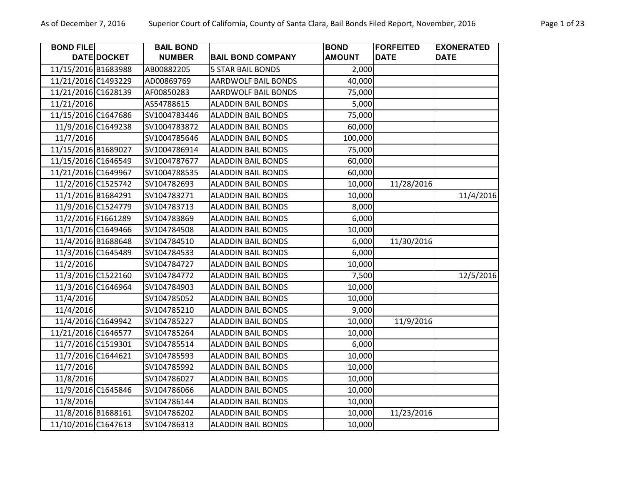**BOND FILE** 

**DATEDOCKET** 

11/15/2016 B1683988

11/21/2016 C1493229

**BAIL BOND NUMBER BAIL BOND COMPANY**

AB00882205

AD00869769

| California, County of Santa Clara, Bail Bonds Filed Report, November, 2016 |               |                  |                   |
|----------------------------------------------------------------------------|---------------|------------------|-------------------|
|                                                                            | <b>BOND</b>   | <b>FORFEITED</b> | <b>EXONERATED</b> |
| <b>BAIL BOND COMPANY</b>                                                   | <b>AMOUNT</b> | <b>DATE</b>      | <b>DATE</b>       |
| 5 STAR BAIL BONDS                                                          | 2,000         |                  |                   |
| AARDWOLF BAIL BONDS                                                        | 40,000        |                  |                   |
| AARDWOLF BAIL BONDS                                                        | 75,000        |                  |                   |
| ALADDIN BAIL BONDS                                                         | 5,000         |                  |                   |
| ALADDIN BAIL BONDS                                                         | 75,000        |                  |                   |
| ALADDIN BAIL BONDS                                                         | 60,000        |                  |                   |
| ALADDIN BAIL BONDS                                                         | 100,000       |                  |                   |
| ALADDIN BAIL BONDS                                                         | 75,000        |                  |                   |
| ALADDIN RAIL RONDS                                                         | ru uu         |                  |                   |

| 11/21/2016 C1628139 |                    | AF00850283   | <b>AARDWOLF BAIL BONDS</b> | 75,000  |            |           |
|---------------------|--------------------|--------------|----------------------------|---------|------------|-----------|
| 11/21/2016          |                    | AS54788615   | <b>ALADDIN BAIL BONDS</b>  | 5,000   |            |           |
| 11/15/2016 C1647686 |                    | SV1004783446 | <b>ALADDIN BAIL BONDS</b>  | 75,000  |            |           |
|                     | 11/9/2016 C1649238 | SV1004783872 | <b>ALADDIN BAIL BONDS</b>  | 60,000  |            |           |
| 11/7/2016           |                    | SV1004785646 | <b>ALADDIN BAIL BONDS</b>  | 100,000 |            |           |
| 11/15/2016 B1689027 |                    | SV1004786914 | <b>ALADDIN BAIL BONDS</b>  | 75,000  |            |           |
| 11/15/2016 C1646549 |                    | SV1004787677 | <b>ALADDIN BAIL BONDS</b>  | 60,000  |            |           |
| 11/21/2016 C1649967 |                    | SV1004788535 | <b>ALADDIN BAIL BONDS</b>  | 60,000  |            |           |
|                     | 11/2/2016 C1525742 | SV104782693  | <b>ALADDIN BAIL BONDS</b>  | 10,000  | 11/28/2016 |           |
|                     | 11/1/2016 B1684291 | SV104783271  | <b>ALADDIN BAIL BONDS</b>  | 10,000  |            | 11/4/2016 |
|                     | 11/9/2016 C1524779 | SV104783713  | <b>ALADDIN BAIL BONDS</b>  | 8,000   |            |           |
|                     | 11/2/2016 F1661289 | SV104783869  | <b>ALADDIN BAIL BONDS</b>  | 6,000   |            |           |
|                     | 11/1/2016 C1649466 | SV104784508  | <b>ALADDIN BAIL BONDS</b>  | 10,000  |            |           |
|                     | 11/4/2016 B1688648 | SV104784510  | <b>ALADDIN BAIL BONDS</b>  | 6,000   | 11/30/2016 |           |
|                     | 11/3/2016 C1645489 | SV104784533  | <b>ALADDIN BAIL BONDS</b>  | 6,000   |            |           |
| 11/2/2016           |                    | SV104784727  | <b>ALADDIN BAIL BONDS</b>  | 10,000  |            |           |
|                     | 11/3/2016 C1522160 | SV104784772  | <b>ALADDIN BAIL BONDS</b>  | 7,500   |            | 12/5/2016 |
|                     | 11/3/2016 C1646964 | SV104784903  | <b>ALADDIN BAIL BONDS</b>  | 10,000  |            |           |
| 11/4/2016           |                    | SV104785052  | <b>ALADDIN BAIL BONDS</b>  | 10,000  |            |           |
| 11/4/2016           |                    | SV104785210  | <b>ALADDIN BAIL BONDS</b>  | 9,000   |            |           |
|                     | 11/4/2016 C1649942 | SV104785227  | <b>ALADDIN BAIL BONDS</b>  | 10,000  | 11/9/2016  |           |
| 11/21/2016 C1646577 |                    | SV104785264  | <b>ALADDIN BAIL BONDS</b>  | 10,000  |            |           |
|                     | 11/7/2016 C1519301 | SV104785514  | <b>ALADDIN BAIL BONDS</b>  | 6,000   |            |           |
|                     | 11/7/2016 C1644621 | SV104785593  | <b>ALADDIN BAIL BONDS</b>  | 10,000  |            |           |
| 11/7/2016           |                    | SV104785992  | <b>ALADDIN BAIL BONDS</b>  | 10,000  |            |           |
| 11/8/2016           |                    | SV104786027  | <b>ALADDIN BAIL BONDS</b>  | 10,000  |            |           |
|                     | 11/9/2016 C1645846 | SV104786066  | <b>ALADDIN BAIL BONDS</b>  | 10,000  |            |           |
| 11/8/2016           |                    | SV104786144  | <b>ALADDIN BAIL BONDS</b>  | 10,000  |            |           |
|                     | 11/8/2016 B1688161 | SV104786202  | <b>ALADDIN BAIL BONDS</b>  | 10,000  | 11/23/2016 |           |
| 11/10/2016 C1647613 |                    | SV104786313  | <b>ALADDIN BAIL BONDS</b>  | 10,000  |            |           |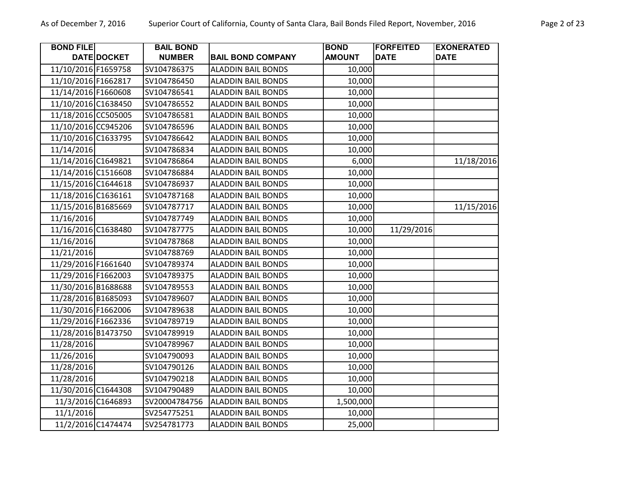| <b>BOND FILE</b>    |             | <b>BAIL BOND</b> |                           | <b>BOND</b>   | <b>FORFEITED</b> | <b>EXONERATED</b> |
|---------------------|-------------|------------------|---------------------------|---------------|------------------|-------------------|
|                     | DATE DOCKET | <b>NUMBER</b>    | <b>BAIL BOND COMPANY</b>  | <b>AMOUNT</b> | <b>DATE</b>      | <b>DATE</b>       |
| 11/10/2016 F1659758 |             | SV104786375      | <b>ALADDIN BAIL BONDS</b> | 10,000        |                  |                   |
| 11/10/2016 F1662817 |             | SV104786450      | <b>ALADDIN BAIL BONDS</b> | 10,000        |                  |                   |
| 11/14/2016 F1660608 |             | SV104786541      | <b>ALADDIN BAIL BONDS</b> | 10,000        |                  |                   |
| 11/10/2016 C1638450 |             | SV104786552      | <b>ALADDIN BAIL BONDS</b> | 10,000        |                  |                   |
| 11/18/2016 CC505005 |             | SV104786581      | <b>ALADDIN BAIL BONDS</b> | 10,000        |                  |                   |
| 11/10/2016 CC945206 |             | SV104786596      | <b>ALADDIN BAIL BONDS</b> | 10,000        |                  |                   |
| 11/10/2016 C1633795 |             | SV104786642      | <b>ALADDIN BAIL BONDS</b> | 10,000        |                  |                   |
| 11/14/2016          |             | SV104786834      | <b>ALADDIN BAIL BONDS</b> | 10,000        |                  |                   |
| 11/14/2016 C1649821 |             | SV104786864      | <b>ALADDIN BAIL BONDS</b> | 6,000         |                  | 11/18/2016        |
| 11/14/2016 C1516608 |             | SV104786884      | <b>ALADDIN BAIL BONDS</b> | 10,000        |                  |                   |
| 11/15/2016 C1644618 |             | SV104786937      | <b>ALADDIN BAIL BONDS</b> | 10,000        |                  |                   |
| 11/18/2016 C1636161 |             | SV104787168      | <b>ALADDIN BAIL BONDS</b> | 10,000        |                  |                   |
| 11/15/2016 B1685669 |             | SV104787717      | <b>ALADDIN BAIL BONDS</b> | 10,000        |                  | 11/15/2016        |
| 11/16/2016          |             | SV104787749      | <b>ALADDIN BAIL BONDS</b> | 10,000        |                  |                   |
| 11/16/2016 C1638480 |             | SV104787775      | <b>ALADDIN BAIL BONDS</b> | 10,000        | 11/29/2016       |                   |
| 11/16/2016          |             | SV104787868      | <b>ALADDIN BAIL BONDS</b> | 10,000        |                  |                   |
| 11/21/2016          |             | SV104788769      | <b>ALADDIN BAIL BONDS</b> | 10,000        |                  |                   |
| 11/29/2016 F1661640 |             | SV104789374      | <b>ALADDIN BAIL BONDS</b> | 10,000        |                  |                   |
| 11/29/2016 F1662003 |             | SV104789375      | <b>ALADDIN BAIL BONDS</b> | 10,000        |                  |                   |
| 11/30/2016 B1688688 |             | SV104789553      | <b>ALADDIN BAIL BONDS</b> | 10,000        |                  |                   |
| 11/28/2016 B1685093 |             | SV104789607      | <b>ALADDIN BAIL BONDS</b> | 10,000        |                  |                   |
| 11/30/2016 F1662006 |             | SV104789638      | <b>ALADDIN BAIL BONDS</b> | 10,000        |                  |                   |
| 11/29/2016 F1662336 |             | SV104789719      | <b>ALADDIN BAIL BONDS</b> | 10,000        |                  |                   |
| 11/28/2016 B1473750 |             | SV104789919      | <b>ALADDIN BAIL BONDS</b> | 10,000        |                  |                   |
| 11/28/2016          |             | SV104789967      | <b>ALADDIN BAIL BONDS</b> | 10,000        |                  |                   |
| 11/26/2016          |             | SV104790093      | <b>ALADDIN BAIL BONDS</b> | 10,000        |                  |                   |
| 11/28/2016          |             | SV104790126      | <b>ALADDIN BAIL BONDS</b> | 10,000        |                  |                   |
| 11/28/2016          |             | SV104790218      | <b>ALADDIN BAIL BONDS</b> | 10,000        |                  |                   |
| 11/30/2016 C1644308 |             | SV104790489      | <b>ALADDIN BAIL BONDS</b> | 10,000        |                  |                   |
| 11/3/2016 C1646893  |             | SV20004784756    | <b>ALADDIN BAIL BONDS</b> | 1,500,000     |                  |                   |
| 11/1/2016           |             | SV254775251      | <b>ALADDIN BAIL BONDS</b> | 10,000        |                  |                   |
| 11/2/2016 C1474474  |             | SV254781773      | <b>ALADDIN BAIL BONDS</b> | 25,000        |                  |                   |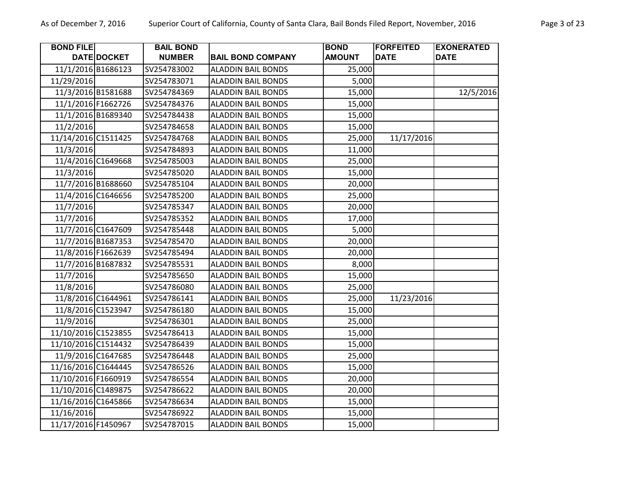| <b>BOND FILE</b>    |             | <b>BAIL BOND</b> |                           | <b>BOND</b>   | <b>FORFEITED</b> | <b>EXONERATED</b> |
|---------------------|-------------|------------------|---------------------------|---------------|------------------|-------------------|
|                     | DATE DOCKET | <b>NUMBER</b>    | <b>BAIL BOND COMPANY</b>  | <b>AMOUNT</b> | <b>DATE</b>      | <b>DATE</b>       |
| 11/1/2016 B1686123  |             | SV254783002      | <b>ALADDIN BAIL BONDS</b> | 25,000        |                  |                   |
| 11/29/2016          |             | SV254783071      | <b>ALADDIN BAIL BONDS</b> | 5,000         |                  |                   |
| 11/3/2016 B1581688  |             | SV254784369      | <b>ALADDIN BAIL BONDS</b> | 15,000        |                  | 12/5/2016         |
| 11/1/2016 F1662726  |             | SV254784376      | <b>ALADDIN BAIL BONDS</b> | 15,000        |                  |                   |
| 11/1/2016 B1689340  |             | SV254784438      | <b>ALADDIN BAIL BONDS</b> | 15,000        |                  |                   |
| 11/2/2016           |             | SV254784658      | <b>ALADDIN BAIL BONDS</b> | 15,000        |                  |                   |
| 11/14/2016 C1511425 |             | SV254784768      | <b>ALADDIN BAIL BONDS</b> | 25,000        | 11/17/2016       |                   |
| 11/3/2016           |             | SV254784893      | <b>ALADDIN BAIL BONDS</b> | 11,000        |                  |                   |
| 11/4/2016 C1649668  |             | SV254785003      | <b>ALADDIN BAIL BONDS</b> | 25,000        |                  |                   |
| 11/3/2016           |             | SV254785020      | <b>ALADDIN BAIL BONDS</b> | 15,000        |                  |                   |
| 11/7/2016 B1688660  |             | SV254785104      | <b>ALADDIN BAIL BONDS</b> | 20,000        |                  |                   |
| 11/4/2016 C1646656  |             | SV254785200      | <b>ALADDIN BAIL BONDS</b> | 25,000        |                  |                   |
| 11/7/2016           |             | SV254785347      | <b>ALADDIN BAIL BONDS</b> | 20,000        |                  |                   |
| 11/7/2016           |             | SV254785352      | <b>ALADDIN BAIL BONDS</b> | 17,000        |                  |                   |
| 11/7/2016 C1647609  |             | SV254785448      | <b>ALADDIN BAIL BONDS</b> | 5,000         |                  |                   |
| 11/7/2016 B1687353  |             | SV254785470      | <b>ALADDIN BAIL BONDS</b> | 20,000        |                  |                   |
| 11/8/2016 F1662639  |             | SV254785494      | <b>ALADDIN BAIL BONDS</b> | 20,000        |                  |                   |
| 11/7/2016 B1687832  |             | SV254785531      | <b>ALADDIN BAIL BONDS</b> | 8,000         |                  |                   |
| 11/7/2016           |             | SV254785650      | <b>ALADDIN BAIL BONDS</b> | 15,000        |                  |                   |
| 11/8/2016           |             | SV254786080      | <b>ALADDIN BAIL BONDS</b> | 25,000        |                  |                   |
| 11/8/2016 C1644961  |             | SV254786141      | <b>ALADDIN BAIL BONDS</b> | 25,000        | 11/23/2016       |                   |
| 11/8/2016 C1523947  |             | SV254786180      | <b>ALADDIN BAIL BONDS</b> | 15,000        |                  |                   |
| 11/9/2016           |             | SV254786301      | <b>ALADDIN BAIL BONDS</b> | 25,000        |                  |                   |
| 11/10/2016 C1523855 |             | SV254786413      | <b>ALADDIN BAIL BONDS</b> | 15,000        |                  |                   |
| 11/10/2016 C1514432 |             | SV254786439      | <b>ALADDIN BAIL BONDS</b> | 15,000        |                  |                   |
| 11/9/2016 C1647685  |             | SV254786448      | <b>ALADDIN BAIL BONDS</b> | 25,000        |                  |                   |
| 11/16/2016 C1644445 |             | SV254786526      | <b>ALADDIN BAIL BONDS</b> | 15,000        |                  |                   |
| 11/10/2016 F1660919 |             | SV254786554      | <b>ALADDIN BAIL BONDS</b> | 20,000        |                  |                   |
| 11/10/2016 C1489875 |             | SV254786622      | <b>ALADDIN BAIL BONDS</b> | 20,000        |                  |                   |
| 11/16/2016 C1645866 |             | SV254786634      | <b>ALADDIN BAIL BONDS</b> | 15,000        |                  |                   |
| 11/16/2016          |             | SV254786922      | <b>ALADDIN BAIL BONDS</b> | 15,000        |                  |                   |
| 11/17/2016 F1450967 |             | SV254787015      | <b>ALADDIN BAIL BONDS</b> | 15,000        |                  |                   |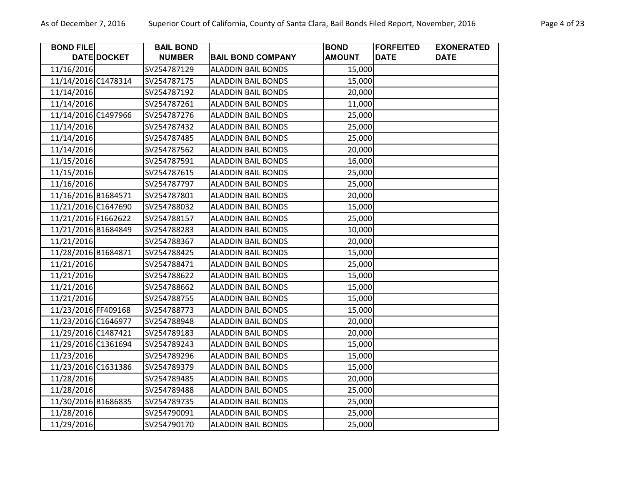| <b>BOND FILE</b>    |             | <b>BAIL BOND</b> |                           | <b>BOND</b>   | <b>FORFEITED</b> | <b>EXONERATED</b> |
|---------------------|-------------|------------------|---------------------------|---------------|------------------|-------------------|
|                     | DATE DOCKET | <b>NUMBER</b>    | <b>BAIL BOND COMPANY</b>  | <b>AMOUNT</b> | <b>DATE</b>      | <b>DATE</b>       |
| 11/16/2016          |             | SV254787129      | <b>ALADDIN BAIL BONDS</b> | 15,000        |                  |                   |
| 11/14/2016 C1478314 |             | SV254787175      | <b>ALADDIN BAIL BONDS</b> | 15,000        |                  |                   |
| 11/14/2016          |             | SV254787192      | <b>ALADDIN BAIL BONDS</b> | 20,000        |                  |                   |
| 11/14/2016          |             | SV254787261      | <b>ALADDIN BAIL BONDS</b> | 11,000        |                  |                   |
| 11/14/2016 C1497966 |             | SV254787276      | <b>ALADDIN BAIL BONDS</b> | 25,000        |                  |                   |
| 11/14/2016          |             | SV254787432      | <b>ALADDIN BAIL BONDS</b> | 25,000        |                  |                   |
| 11/14/2016          |             | SV254787485      | <b>ALADDIN BAIL BONDS</b> | 25,000        |                  |                   |
| 11/14/2016          |             | SV254787562      | <b>ALADDIN BAIL BONDS</b> | 20,000        |                  |                   |
| 11/15/2016          |             | SV254787591      | <b>ALADDIN BAIL BONDS</b> | 16,000        |                  |                   |
| 11/15/2016          |             | SV254787615      | <b>ALADDIN BAIL BONDS</b> | 25,000        |                  |                   |
| 11/16/2016          |             | SV254787797      | <b>ALADDIN BAIL BONDS</b> | 25,000        |                  |                   |
| 11/16/2016 B1684571 |             | SV254787801      | <b>ALADDIN BAIL BONDS</b> | 20,000        |                  |                   |
| 11/21/2016 C1647690 |             | SV254788032      | <b>ALADDIN BAIL BONDS</b> | 15,000        |                  |                   |
| 11/21/2016 F1662622 |             | SV254788157      | <b>ALADDIN BAIL BONDS</b> | 25,000        |                  |                   |
| 11/21/2016 B1684849 |             | SV254788283      | <b>ALADDIN BAIL BONDS</b> | 10,000        |                  |                   |
| 11/21/2016          |             | SV254788367      | <b>ALADDIN BAIL BONDS</b> | 20,000        |                  |                   |
| 11/28/2016 B1684871 |             | SV254788425      | <b>ALADDIN BAIL BONDS</b> | 15,000        |                  |                   |
| 11/21/2016          |             | SV254788471      | <b>ALADDIN BAIL BONDS</b> | 25,000        |                  |                   |
| 11/21/2016          |             | SV254788622      | <b>ALADDIN BAIL BONDS</b> | 15,000        |                  |                   |
| 11/21/2016          |             | SV254788662      | <b>ALADDIN BAIL BONDS</b> | 15,000        |                  |                   |
| 11/21/2016          |             | SV254788755      | <b>ALADDIN BAIL BONDS</b> | 15,000        |                  |                   |
| 11/23/2016 FF409168 |             | SV254788773      | <b>ALADDIN BAIL BONDS</b> | 15,000        |                  |                   |
| 11/23/2016 C1646977 |             | SV254788948      | <b>ALADDIN BAIL BONDS</b> | 20,000        |                  |                   |
| 11/29/2016 C1487421 |             | SV254789183      | <b>ALADDIN BAIL BONDS</b> | 20,000        |                  |                   |
| 11/29/2016 C1361694 |             | SV254789243      | <b>ALADDIN BAIL BONDS</b> | 15,000        |                  |                   |
| 11/23/2016          |             | SV254789296      | <b>ALADDIN BAIL BONDS</b> | 15,000        |                  |                   |
| 11/23/2016 C1631386 |             | SV254789379      | <b>ALADDIN BAIL BONDS</b> | 15,000        |                  |                   |
| 11/28/2016          |             | SV254789485      | <b>ALADDIN BAIL BONDS</b> | 20,000        |                  |                   |
| 11/28/2016          |             | SV254789488      | <b>ALADDIN BAIL BONDS</b> | 25,000        |                  |                   |
| 11/30/2016 B1686835 |             | SV254789735      | <b>ALADDIN BAIL BONDS</b> | 25,000        |                  |                   |
| 11/28/2016          |             | SV254790091      | <b>ALADDIN BAIL BONDS</b> | 25,000        |                  |                   |
| 11/29/2016          |             | SV254790170      | <b>ALADDIN BAIL BONDS</b> | 25,000        |                  |                   |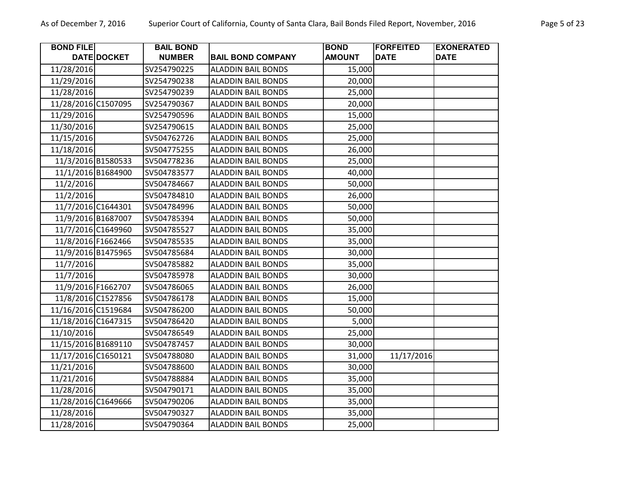| <b>BOND FILE</b>    |                    | <b>BAIL BOND</b> |                           | <b>BOND</b>   | <b>FORFEITED</b> | <b>EXONERATED</b> |
|---------------------|--------------------|------------------|---------------------------|---------------|------------------|-------------------|
|                     | <b>DATE DOCKET</b> | <b>NUMBER</b>    | <b>BAIL BOND COMPANY</b>  | <b>AMOUNT</b> | <b>DATE</b>      | <b>DATE</b>       |
| 11/28/2016          |                    | SV254790225      | <b>ALADDIN BAIL BONDS</b> | 15,000        |                  |                   |
| 11/29/2016          |                    | SV254790238      | <b>ALADDIN BAIL BONDS</b> | 20,000        |                  |                   |
| 11/28/2016          |                    | SV254790239      | <b>ALADDIN BAIL BONDS</b> | 25,000        |                  |                   |
| 11/28/2016 C1507095 |                    | SV254790367      | <b>ALADDIN BAIL BONDS</b> | 20,000        |                  |                   |
| 11/29/2016          |                    | SV254790596      | <b>ALADDIN BAIL BONDS</b> | 15,000        |                  |                   |
| 11/30/2016          |                    | SV254790615      | <b>ALADDIN BAIL BONDS</b> | 25,000        |                  |                   |
| 11/15/2016          |                    | SV504762726      | <b>ALADDIN BAIL BONDS</b> | 25,000        |                  |                   |
| 11/18/2016          |                    | SV504775255      | <b>ALADDIN BAIL BONDS</b> | 26,000        |                  |                   |
| 11/3/2016 B1580533  |                    | SV504778236      | <b>ALADDIN BAIL BONDS</b> | 25,000        |                  |                   |
| 11/1/2016 B1684900  |                    | SV504783577      | <b>ALADDIN BAIL BONDS</b> | 40,000        |                  |                   |
| 11/2/2016           |                    | SV504784667      | <b>ALADDIN BAIL BONDS</b> | 50,000        |                  |                   |
| 11/2/2016           |                    | SV504784810      | <b>ALADDIN BAIL BONDS</b> | 26,000        |                  |                   |
| 11/7/2016 C1644301  |                    | SV504784996      | <b>ALADDIN BAIL BONDS</b> | 50,000        |                  |                   |
| 11/9/2016 B1687007  |                    | SV504785394      | <b>ALADDIN BAIL BONDS</b> | 50,000        |                  |                   |
| 11/7/2016 C1649960  |                    | SV504785527      | <b>ALADDIN BAIL BONDS</b> | 35,000        |                  |                   |
| 11/8/2016 F1662466  |                    | SV504785535      | <b>ALADDIN BAIL BONDS</b> | 35,000        |                  |                   |
| 11/9/2016 B1475965  |                    | SV504785684      | <b>ALADDIN BAIL BONDS</b> | 30,000        |                  |                   |
| 11/7/2016           |                    | SV504785882      | <b>ALADDIN BAIL BONDS</b> | 35,000        |                  |                   |
| 11/7/2016           |                    | SV504785978      | <b>ALADDIN BAIL BONDS</b> | 30,000        |                  |                   |
| 11/9/2016 F1662707  |                    | SV504786065      | <b>ALADDIN BAIL BONDS</b> | 26,000        |                  |                   |
| 11/8/2016 C1527856  |                    | SV504786178      | <b>ALADDIN BAIL BONDS</b> | 15,000        |                  |                   |
| 11/16/2016 C1519684 |                    | SV504786200      | <b>ALADDIN BAIL BONDS</b> | 50,000        |                  |                   |
| 11/18/2016 C1647315 |                    | SV504786420      | <b>ALADDIN BAIL BONDS</b> | 5,000         |                  |                   |
| 11/10/2016          |                    | SV504786549      | <b>ALADDIN BAIL BONDS</b> | 25,000        |                  |                   |
| 11/15/2016 B1689110 |                    | SV504787457      | <b>ALADDIN BAIL BONDS</b> | 30,000        |                  |                   |
| 11/17/2016 C1650121 |                    | SV504788080      | <b>ALADDIN BAIL BONDS</b> | 31,000        | 11/17/2016       |                   |
| 11/21/2016          |                    | SV504788600      | <b>ALADDIN BAIL BONDS</b> | 30,000        |                  |                   |
| 11/21/2016          |                    | SV504788884      | <b>ALADDIN BAIL BONDS</b> | 35,000        |                  |                   |
| 11/28/2016          |                    | SV504790171      | <b>ALADDIN BAIL BONDS</b> | 35,000        |                  |                   |
| 11/28/2016 C1649666 |                    | SV504790206      | <b>ALADDIN BAIL BONDS</b> | 35,000        |                  |                   |
| 11/28/2016          |                    | SV504790327      | <b>ALADDIN BAIL BONDS</b> | 35,000        |                  |                   |
| 11/28/2016          |                    | SV504790364      | <b>ALADDIN BAIL BONDS</b> | 25,000        |                  |                   |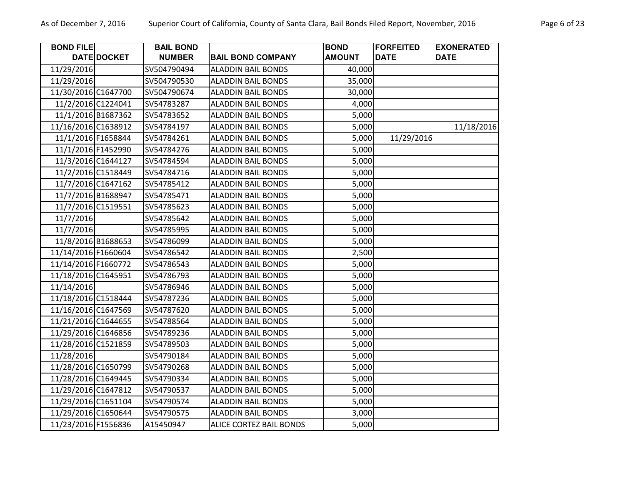**BOND FILE** 

Г

**BAIL BOND** 

| 011110, County of Santa Clara, Ban Bonds mca hcport, November, 2010 |                              |                                 |                                   |
|---------------------------------------------------------------------|------------------------------|---------------------------------|-----------------------------------|
| . BOND COMPANY                                                      | <b>BOND</b><br><b>AMOUNT</b> | <b>FORFEITED</b><br><b>DATE</b> | <b>EXONERATED</b><br><b>IDATE</b> |
| <b>DIN BAIL BONDS</b>                                               | 40,000                       |                                 |                                   |
| <b>DIN BAIL BONDS</b>                                               | 35,000                       |                                 |                                   |
| <b>DIN BAIL BONDS</b>                                               | 30,000                       |                                 |                                   |
| <b>DIN BAIL BONDS</b>                                               | 4,000                        |                                 |                                   |
|                                                                     |                              |                                 |                                   |

|                     | DATE DOCKET | <b>NUMBER</b> | <b>BAIL BOND COMPANY</b>       | <b>AMOUNT</b> | <b>DATE</b> | <b>DATE</b> |
|---------------------|-------------|---------------|--------------------------------|---------------|-------------|-------------|
| 11/29/2016          |             | SV504790494   | <b>ALADDIN BAIL BONDS</b>      | 40,000        |             |             |
| 11/29/2016          |             | SV504790530   | <b>ALADDIN BAIL BONDS</b>      | 35,000        |             |             |
| 11/30/2016 C1647700 |             | SV504790674   | <b>ALADDIN BAIL BONDS</b>      | 30,000        |             |             |
| 11/2/2016 C1224041  |             | SV54783287    | <b>ALADDIN BAIL BONDS</b>      | 4,000         |             |             |
| 11/1/2016 B1687362  |             | SV54783652    | <b>ALADDIN BAIL BONDS</b>      | 5,000         |             |             |
| 11/16/2016 C1638912 |             | SV54784197    | <b>ALADDIN BAIL BONDS</b>      | 5,000         |             | 11/18/2016  |
| 11/1/2016 F1658844  |             | SV54784261    | <b>ALADDIN BAIL BONDS</b>      | 5,000         | 11/29/2016  |             |
| 11/1/2016 F1452990  |             | SV54784276    | <b>ALADDIN BAIL BONDS</b>      | 5,000         |             |             |
| 11/3/2016 C1644127  |             | SV54784594    | <b>ALADDIN BAIL BONDS</b>      | 5,000         |             |             |
| 11/2/2016 C1518449  |             | SV54784716    | <b>ALADDIN BAIL BONDS</b>      | 5,000         |             |             |
| 11/7/2016 C1647162  |             | SV54785412    | <b>ALADDIN BAIL BONDS</b>      | 5,000         |             |             |
| 11/7/2016 B1688947  |             | SV54785471    | <b>ALADDIN BAIL BONDS</b>      | 5,000         |             |             |
| 11/7/2016 C1519551  |             | SV54785623    | <b>ALADDIN BAIL BONDS</b>      | 5,000         |             |             |
| 11/7/2016           |             | SV54785642    | <b>ALADDIN BAIL BONDS</b>      | 5,000         |             |             |
| 11/7/2016           |             | SV54785995    | <b>ALADDIN BAIL BONDS</b>      | 5,000         |             |             |
| 11/8/2016 B1688653  |             | SV54786099    | <b>ALADDIN BAIL BONDS</b>      | 5,000         |             |             |
| 11/14/2016 F1660604 |             | SV54786542    | <b>ALADDIN BAIL BONDS</b>      | 2,500         |             |             |
| 11/14/2016 F1660772 |             | SV54786543    | <b>ALADDIN BAIL BONDS</b>      | 5,000         |             |             |
| 11/18/2016 C1645951 |             | SV54786793    | <b>ALADDIN BAIL BONDS</b>      | 5,000         |             |             |
| 11/14/2016          |             | SV54786946    | <b>ALADDIN BAIL BONDS</b>      | 5,000         |             |             |
| 11/18/2016 C1518444 |             | SV54787236    | <b>ALADDIN BAIL BONDS</b>      | 5,000         |             |             |
| 11/16/2016 C1647569 |             | SV54787620    | <b>ALADDIN BAIL BONDS</b>      | 5,000         |             |             |
| 11/21/2016 C1644655 |             | SV54788564    | <b>ALADDIN BAIL BONDS</b>      | 5,000         |             |             |
| 11/29/2016 C1646856 |             | SV54789236    | <b>ALADDIN BAIL BONDS</b>      | 5,000         |             |             |
| 11/28/2016 C1521859 |             | SV54789503    | <b>ALADDIN BAIL BONDS</b>      | 5,000         |             |             |
| 11/28/2016          |             | SV54790184    | <b>ALADDIN BAIL BONDS</b>      | 5,000         |             |             |
| 11/28/2016 C1650799 |             | SV54790268    | <b>ALADDIN BAIL BONDS</b>      | 5,000         |             |             |
| 11/28/2016 C1649445 |             | SV54790334    | <b>ALADDIN BAIL BONDS</b>      | 5,000         |             |             |
| 11/29/2016 C1647812 |             | SV54790537    | <b>ALADDIN BAIL BONDS</b>      | 5,000         |             |             |
| 11/29/2016 C1651104 |             | SV54790574    | <b>ALADDIN BAIL BONDS</b>      | 5,000         |             |             |
| 11/29/2016 C1650644 |             | SV54790575    | <b>ALADDIN BAIL BONDS</b>      | 3,000         |             |             |
| 11/23/2016 F1556836 |             | A15450947     | <b>ALICE CORTEZ BAIL BONDS</b> | 5,000         |             |             |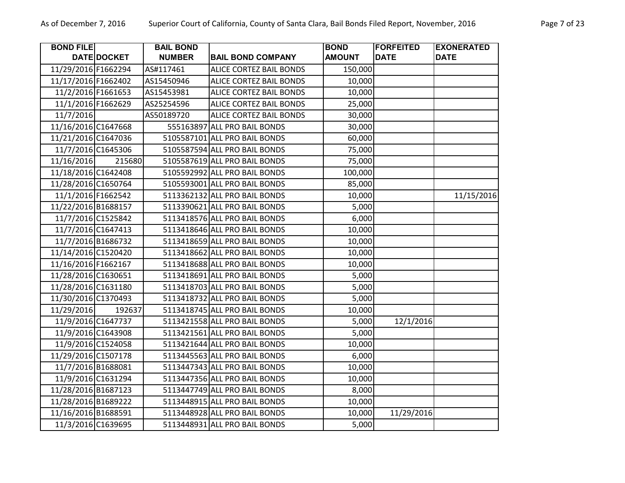| <b>BOND FILE</b>    |                    | <b>BAIL BOND</b> |                                | <b>BOND</b>   | <b>FORFEITED</b> | <b>EXONERATED</b> |
|---------------------|--------------------|------------------|--------------------------------|---------------|------------------|-------------------|
|                     | DATE DOCKET        | <b>NUMBER</b>    | <b>BAIL BOND COMPANY</b>       | <b>AMOUNT</b> | <b>DATE</b>      | <b>DATE</b>       |
| 11/29/2016 F1662294 |                    | AS#117461        | <b>ALICE CORTEZ BAIL BONDS</b> | 150,000       |                  |                   |
| 11/17/2016 F1662402 |                    | AS15450946       | <b>ALICE CORTEZ BAIL BONDS</b> | 10,000        |                  |                   |
| 11/2/2016 F1661653  |                    | AS15453981       | ALICE CORTEZ BAIL BONDS        | 10,000        |                  |                   |
| 11/1/2016 F1662629  |                    | AS25254596       | ALICE CORTEZ BAIL BONDS        | 25,000        |                  |                   |
| 11/7/2016           |                    | AS50189720       | <b>ALICE CORTEZ BAIL BONDS</b> | 30,000        |                  |                   |
| 11/16/2016 C1647668 |                    |                  | 555163897 ALL PRO BAIL BONDS   | 30,000        |                  |                   |
| 11/21/2016 C1647036 |                    |                  | 5105587101 ALL PRO BAIL BONDS  | 60,000        |                  |                   |
| 11/7/2016 C1645306  |                    |                  | 5105587594 ALL PRO BAIL BONDS  | 75,000        |                  |                   |
| 11/16/2016          | 215680             |                  | 5105587619 ALL PRO BAIL BONDS  | 75,000        |                  |                   |
| 11/18/2016 C1642408 |                    |                  | 5105592992 ALL PRO BAIL BONDS  | 100,000       |                  |                   |
| 11/28/2016 C1650764 |                    |                  | 5105593001 ALL PRO BAIL BONDS  | 85,000        |                  |                   |
| 11/1/2016 F1662542  |                    |                  | 5113362132 ALL PRO BAIL BONDS  | 10,000        |                  | 11/15/2016        |
| 11/22/2016 B1688157 |                    |                  | 5113390621 ALL PRO BAIL BONDS  | 5,000         |                  |                   |
|                     | 11/7/2016 C1525842 |                  | 5113418576 ALL PRO BAIL BONDS  | 6,000         |                  |                   |
|                     | 11/7/2016 C1647413 |                  | 5113418646 ALL PRO BAIL BONDS  | 10,000        |                  |                   |
| 11/7/2016 B1686732  |                    |                  | 5113418659 ALL PRO BAIL BONDS  | 10,000        |                  |                   |
| 11/14/2016 C1520420 |                    |                  | 5113418662 ALL PRO BAIL BONDS  | 10,000        |                  |                   |
| 11/16/2016 F1662167 |                    |                  | 5113418688 ALL PRO BAIL BONDS  | 10,000        |                  |                   |
| 11/28/2016 C1630651 |                    |                  | 5113418691 ALL PRO BAIL BONDS  | 5,000         |                  |                   |
| 11/28/2016 C1631180 |                    |                  | 5113418703 ALL PRO BAIL BONDS  | 5,000         |                  |                   |
| 11/30/2016 C1370493 |                    |                  | 5113418732 ALL PRO BAIL BONDS  | 5,000         |                  |                   |
| 11/29/2016          | 192637             |                  | 5113418745 ALL PRO BAIL BONDS  | 10,000        |                  |                   |
|                     | 11/9/2016 C1647737 |                  | 5113421558 ALL PRO BAIL BONDS  | 5,000         | 12/1/2016        |                   |
| 11/9/2016 C1643908  |                    |                  | 5113421561 ALL PRO BAIL BONDS  | 5,000         |                  |                   |
|                     | 11/9/2016 C1524058 |                  | 5113421644 ALL PRO BAIL BONDS  | 10,000        |                  |                   |
| 11/29/2016 C1507178 |                    |                  | 5113445563 ALL PRO BAIL BONDS  | 6,000         |                  |                   |
| 11/7/2016 B1688081  |                    |                  | 5113447343 ALL PRO BAIL BONDS  | 10,000        |                  |                   |
| 11/9/2016 C1631294  |                    |                  | 5113447356 ALL PRO BAIL BONDS  | 10,000        |                  |                   |
| 11/28/2016 B1687123 |                    |                  | 5113447749 ALL PRO BAIL BONDS  | 8,000         |                  |                   |
| 11/28/2016 B1689222 |                    |                  | 5113448915 ALL PRO BAIL BONDS  | 10,000        |                  |                   |
| 11/16/2016 B1688591 |                    |                  | 5113448928 ALL PRO BAIL BONDS  | 10,000        | 11/29/2016       |                   |
| 11/3/2016 C1639695  |                    |                  | 5113448931 ALL PRO BAIL BONDS  | 5,000         |                  |                   |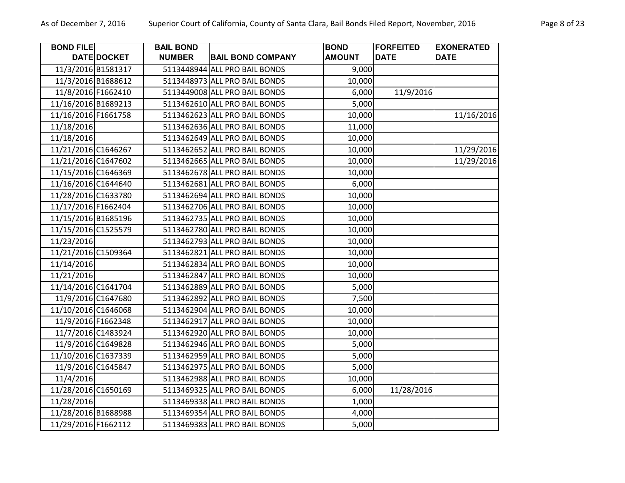| <b>BOND FILE</b>    |                    | <b>BAIL BOND</b> |                               | <b>BOND</b>   | <b>FORFEITED</b> | <b>EXONERATED</b> |
|---------------------|--------------------|------------------|-------------------------------|---------------|------------------|-------------------|
|                     | DATE DOCKET        | <b>NUMBER</b>    | <b>BAIL BOND COMPANY</b>      | <b>AMOUNT</b> | <b>DATE</b>      | <b>DATE</b>       |
|                     | 11/3/2016 B1581317 |                  | 5113448944 ALL PRO BAIL BONDS | 9,000         |                  |                   |
|                     | 11/3/2016 B1688612 |                  | 5113448973 ALL PRO BAIL BONDS | 10,000        |                  |                   |
|                     | 11/8/2016 F1662410 |                  | 5113449008 ALL PRO BAIL BONDS | 6,000         | 11/9/2016        |                   |
| 11/16/2016 B1689213 |                    |                  | 5113462610 ALL PRO BAIL BONDS | 5,000         |                  |                   |
| 11/16/2016 F1661758 |                    |                  | 5113462623 ALL PRO BAIL BONDS | 10,000        |                  | 11/16/2016        |
| 11/18/2016          |                    |                  | 5113462636 ALL PRO BAIL BONDS | 11,000        |                  |                   |
| 11/18/2016          |                    |                  | 5113462649 ALL PRO BAIL BONDS | 10,000        |                  |                   |
| 11/21/2016 C1646267 |                    |                  | 5113462652 ALL PRO BAIL BONDS | 10,000        |                  | 11/29/2016        |
| 11/21/2016 C1647602 |                    |                  | 5113462665 ALL PRO BAIL BONDS | 10,000        |                  | 11/29/2016        |
| 11/15/2016 C1646369 |                    |                  | 5113462678 ALL PRO BAIL BONDS | 10,000        |                  |                   |
| 11/16/2016 C1644640 |                    |                  | 5113462681 ALL PRO BAIL BONDS | 6,000         |                  |                   |
| 11/28/2016 C1633780 |                    |                  | 5113462694 ALL PRO BAIL BONDS | 10,000        |                  |                   |
| 11/17/2016 F1662404 |                    |                  | 5113462706 ALL PRO BAIL BONDS | 10,000        |                  |                   |
| 11/15/2016 B1685196 |                    |                  | 5113462735 ALL PRO BAIL BONDS | 10,000        |                  |                   |
| 11/15/2016 C1525579 |                    |                  | 5113462780 ALL PRO BAIL BONDS | 10,000        |                  |                   |
| 11/23/2016          |                    |                  | 5113462793 ALL PRO BAIL BONDS | 10,000        |                  |                   |
| 11/21/2016 C1509364 |                    |                  | 5113462821 ALL PRO BAIL BONDS | 10,000        |                  |                   |
| 11/14/2016          |                    |                  | 5113462834 ALL PRO BAIL BONDS | 10,000        |                  |                   |
| 11/21/2016          |                    |                  | 5113462847 ALL PRO BAIL BONDS | 10,000        |                  |                   |
| 11/14/2016 C1641704 |                    |                  | 5113462889 ALL PRO BAIL BONDS | 5,000         |                  |                   |
|                     | 11/9/2016 C1647680 |                  | 5113462892 ALL PRO BAIL BONDS | 7,500         |                  |                   |
| 11/10/2016 C1646068 |                    |                  | 5113462904 ALL PRO BAIL BONDS | 10,000        |                  |                   |
|                     | 11/9/2016 F1662348 |                  | 5113462917 ALL PRO BAIL BONDS | 10,000        |                  |                   |
|                     | 11/7/2016 C1483924 |                  | 5113462920 ALL PRO BAIL BONDS | 10,000        |                  |                   |
|                     | 11/9/2016 C1649828 |                  | 5113462946 ALL PRO BAIL BONDS | 5,000         |                  |                   |
| 11/10/2016 C1637339 |                    |                  | 5113462959 ALL PRO BAIL BONDS | 5,000         |                  |                   |
|                     | 11/9/2016 C1645847 |                  | 5113462975 ALL PRO BAIL BONDS | 5,000         |                  |                   |
| 11/4/2016           |                    |                  | 5113462988 ALL PRO BAIL BONDS | 10,000        |                  |                   |
| 11/28/2016 C1650169 |                    |                  | 5113469325 ALL PRO BAIL BONDS | 6,000         | 11/28/2016       |                   |
| 11/28/2016          |                    |                  | 5113469338 ALL PRO BAIL BONDS | 1,000         |                  |                   |
| 11/28/2016 B1688988 |                    |                  | 5113469354 ALL PRO BAIL BONDS | 4,000         |                  |                   |
| 11/29/2016 F1662112 |                    |                  | 5113469383 ALL PRO BAIL BONDS | 5,000         |                  |                   |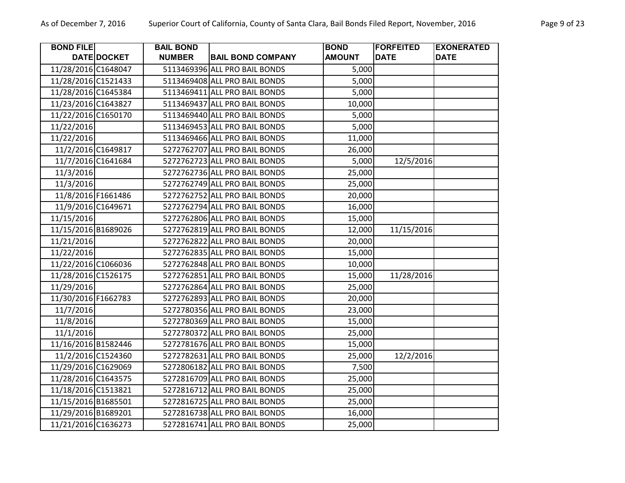| <b>BOND FILE</b>    |             | <b>BAIL BOND</b> |                               | <b>BOND</b>   | <b>FORFEITED</b> | <b>EXONERATED</b> |
|---------------------|-------------|------------------|-------------------------------|---------------|------------------|-------------------|
|                     | DATE DOCKET | <b>NUMBER</b>    | <b>BAIL BOND COMPANY</b>      | <b>AMOUNT</b> | <b>DATE</b>      | <b>DATE</b>       |
| 11/28/2016 C1648047 |             |                  | 5113469396 ALL PRO BAIL BONDS | 5,000         |                  |                   |
| 11/28/2016 C1521433 |             |                  | 5113469408 ALL PRO BAIL BONDS | 5,000         |                  |                   |
| 11/28/2016 C1645384 |             |                  | 5113469411 ALL PRO BAIL BONDS | 5,000         |                  |                   |
| 11/23/2016 C1643827 |             |                  | 5113469437 ALL PRO BAIL BONDS | 10,000        |                  |                   |
| 11/22/2016 C1650170 |             |                  | 5113469440 ALL PRO BAIL BONDS | 5,000         |                  |                   |
| 11/22/2016          |             |                  | 5113469453 ALL PRO BAIL BONDS | 5,000         |                  |                   |
| 11/22/2016          |             |                  | 5113469466 ALL PRO BAIL BONDS | 11,000        |                  |                   |
| 11/2/2016 C1649817  |             |                  | 5272762707 ALL PRO BAIL BONDS | 26,000        |                  |                   |
| 11/7/2016 C1641684  |             |                  | 5272762723 ALL PRO BAIL BONDS | 5,000         | 12/5/2016        |                   |
| 11/3/2016           |             |                  | 5272762736 ALL PRO BAIL BONDS | 25,000        |                  |                   |
| 11/3/2016           |             |                  | 5272762749 ALL PRO BAIL BONDS | 25,000        |                  |                   |
| 11/8/2016 F1661486  |             |                  | 5272762752 ALL PRO BAIL BONDS | 20,000        |                  |                   |
| 11/9/2016 C1649671  |             |                  | 5272762794 ALL PRO BAIL BONDS | 16,000        |                  |                   |
| 11/15/2016          |             |                  | 5272762806 ALL PRO BAIL BONDS | 15,000        |                  |                   |
| 11/15/2016 B1689026 |             |                  | 5272762819 ALL PRO BAIL BONDS | 12,000        | 11/15/2016       |                   |
| 11/21/2016          |             |                  | 5272762822 ALL PRO BAIL BONDS | 20,000        |                  |                   |
| 11/22/2016          |             |                  | 5272762835 ALL PRO BAIL BONDS | 15,000        |                  |                   |
| 11/22/2016 C1066036 |             |                  | 5272762848 ALL PRO BAIL BONDS | 10,000        |                  |                   |
| 11/28/2016 C1526175 |             |                  | 5272762851 ALL PRO BAIL BONDS | 15,000        | 11/28/2016       |                   |
| 11/29/2016          |             |                  | 5272762864 ALL PRO BAIL BONDS | 25,000        |                  |                   |
| 11/30/2016 F1662783 |             |                  | 5272762893 ALL PRO BAIL BONDS | 20,000        |                  |                   |
| 11/7/2016           |             |                  | 5272780356 ALL PRO BAIL BONDS | 23,000        |                  |                   |
| 11/8/2016           |             |                  | 5272780369 ALL PRO BAIL BONDS | 15,000        |                  |                   |
| 11/1/2016           |             |                  | 5272780372 ALL PRO BAIL BONDS | 25,000        |                  |                   |
| 11/16/2016 B1582446 |             |                  | 5272781676 ALL PRO BAIL BONDS | 15,000        |                  |                   |
| 11/2/2016 C1524360  |             |                  | 5272782631 ALL PRO BAIL BONDS | 25,000        | 12/2/2016        |                   |
| 11/29/2016 C1629069 |             |                  | 5272806182 ALL PRO BAIL BONDS | 7,500         |                  |                   |
| 11/28/2016 C1643575 |             |                  | 5272816709 ALL PRO BAIL BONDS | 25,000        |                  |                   |
| 11/18/2016 C1513821 |             |                  | 5272816712 ALL PRO BAIL BONDS | 25,000        |                  |                   |
| 11/15/2016 B1685501 |             |                  | 5272816725 ALL PRO BAIL BONDS | 25,000        |                  |                   |
| 11/29/2016 B1689201 |             |                  | 5272816738 ALL PRO BAIL BONDS | 16,000        |                  |                   |
| 11/21/2016 C1636273 |             |                  | 5272816741 ALL PRO BAIL BONDS | 25,000        |                  |                   |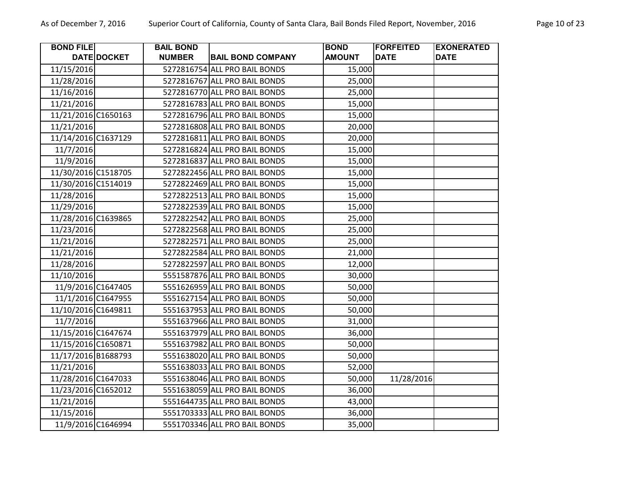| <b>BOND FILE</b>    |                    | <b>BAIL BOND</b> |                               | <b>BOND</b>   | <b>FORFEITED</b> | <b>EXONERATED</b> |
|---------------------|--------------------|------------------|-------------------------------|---------------|------------------|-------------------|
|                     | DATE DOCKET        | <b>NUMBER</b>    | <b>BAIL BOND COMPANY</b>      | <b>AMOUNT</b> | <b>DATE</b>      | <b>DATE</b>       |
| 11/15/2016          |                    |                  | 5272816754 ALL PRO BAIL BONDS | 15,000        |                  |                   |
| 11/28/2016          |                    |                  | 5272816767 ALL PRO BAIL BONDS | 25,000        |                  |                   |
| 11/16/2016          |                    |                  | 5272816770 ALL PRO BAIL BONDS | 25,000        |                  |                   |
| 11/21/2016          |                    |                  | 5272816783 ALL PRO BAIL BONDS | 15,000        |                  |                   |
| 11/21/2016 C1650163 |                    |                  | 5272816796 ALL PRO BAIL BONDS | 15,000        |                  |                   |
| 11/21/2016          |                    |                  | 5272816808 ALL PRO BAIL BONDS | 20,000        |                  |                   |
| 11/14/2016 C1637129 |                    |                  | 5272816811 ALL PRO BAIL BONDS | 20,000        |                  |                   |
| 11/7/2016           |                    |                  | 5272816824 ALL PRO BAIL BONDS | 15,000        |                  |                   |
| 11/9/2016           |                    |                  | 5272816837 ALL PRO BAIL BONDS | 15,000        |                  |                   |
| 11/30/2016 C1518705 |                    |                  | 5272822456 ALL PRO BAIL BONDS | 15,000        |                  |                   |
| 11/30/2016 C1514019 |                    |                  | 5272822469 ALL PRO BAIL BONDS | 15,000        |                  |                   |
| 11/28/2016          |                    |                  | 5272822513 ALL PRO BAIL BONDS | 15,000        |                  |                   |
| 11/29/2016          |                    |                  | 5272822539 ALL PRO BAIL BONDS | 15,000        |                  |                   |
| 11/28/2016 C1639865 |                    |                  | 5272822542 ALL PRO BAIL BONDS | 25,000        |                  |                   |
| 11/23/2016          |                    |                  | 5272822568 ALL PRO BAIL BONDS | 25,000        |                  |                   |
| 11/21/2016          |                    |                  | 5272822571 ALL PRO BAIL BONDS | 25,000        |                  |                   |
| 11/21/2016          |                    |                  | 5272822584 ALL PRO BAIL BONDS | 21,000        |                  |                   |
| 11/28/2016          |                    |                  | 5272822597 ALL PRO BAIL BONDS | 12,000        |                  |                   |
| 11/10/2016          |                    |                  | 5551587876 ALL PRO BAIL BONDS | 30,000        |                  |                   |
|                     | 11/9/2016 C1647405 |                  | 5551626959 ALL PRO BAIL BONDS | 50,000        |                  |                   |
|                     | 11/1/2016 C1647955 |                  | 5551627154 ALL PRO BAIL BONDS | 50,000        |                  |                   |
| 11/10/2016 C1649811 |                    |                  | 5551637953 ALL PRO BAIL BONDS | 50,000        |                  |                   |
| 11/7/2016           |                    |                  | 5551637966 ALL PRO BAIL BONDS | 31,000        |                  |                   |
| 11/15/2016 C1647674 |                    |                  | 5551637979 ALL PRO BAIL BONDS | 36,000        |                  |                   |
| 11/15/2016 C1650871 |                    |                  | 5551637982 ALL PRO BAIL BONDS | 50,000        |                  |                   |
| 11/17/2016 B1688793 |                    |                  | 5551638020 ALL PRO BAIL BONDS | 50,000        |                  |                   |
| 11/21/2016          |                    |                  | 5551638033 ALL PRO BAIL BONDS | 52,000        |                  |                   |
| 11/28/2016 C1647033 |                    |                  | 5551638046 ALL PRO BAIL BONDS | 50,000        | 11/28/2016       |                   |
| 11/23/2016 C1652012 |                    |                  | 5551638059 ALL PRO BAIL BONDS | 36,000        |                  |                   |
| 11/21/2016          |                    |                  | 5551644735 ALL PRO BAIL BONDS | 43,000        |                  |                   |
| 11/15/2016          |                    |                  | 5551703333 ALL PRO BAIL BONDS | 36,000        |                  |                   |
|                     | 11/9/2016 C1646994 |                  | 5551703346 ALL PRO BAIL BONDS | 35,000        |                  |                   |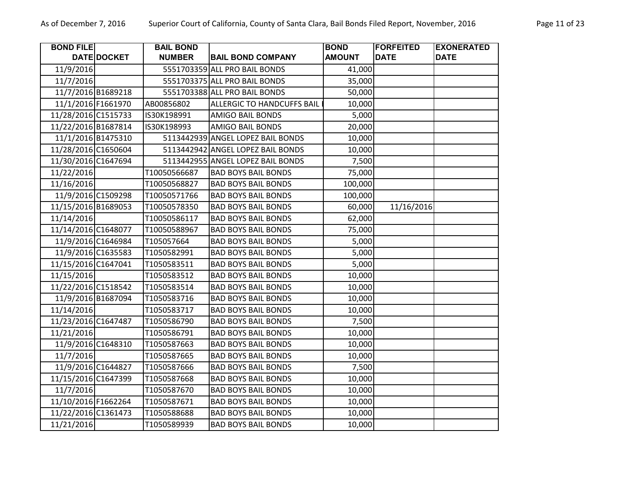| <b>BOND FILE</b>    |                    | <b>BAIL BOND</b> |                                   | <b>BOND</b>   | <b>FORFEITED</b> | <b>EXONERATED</b> |
|---------------------|--------------------|------------------|-----------------------------------|---------------|------------------|-------------------|
|                     | DATE DOCKET        | <b>NUMBER</b>    | <b>BAIL BOND COMPANY</b>          | <b>AMOUNT</b> | <b>DATE</b>      | <b>DATE</b>       |
| 11/9/2016           |                    |                  | 5551703359 ALL PRO BAIL BONDS     | 41,000        |                  |                   |
| 11/7/2016           |                    |                  | 5551703375 ALL PRO BAIL BONDS     | 35,000        |                  |                   |
|                     | 11/7/2016 B1689218 |                  | 5551703388 ALL PRO BAIL BONDS     | 50,000        |                  |                   |
| 11/1/2016 F1661970  |                    | AB00856802       | <b>ALLERGIC TO HANDCUFFS BAIL</b> | 10,000        |                  |                   |
| 11/28/2016 C1515733 |                    | IS30K198991      | <b>AMIGO BAIL BONDS</b>           | 5,000         |                  |                   |
| 11/22/2016 B1687814 |                    | IS30K198993      | AMIGO BAIL BONDS                  | 20,000        |                  |                   |
|                     | 11/1/2016 B1475310 |                  | 5113442939 ANGEL LOPEZ BAIL BONDS | 10,000        |                  |                   |
| 11/28/2016 C1650604 |                    |                  | 5113442942 ANGEL LOPEZ BAIL BONDS | 10,000        |                  |                   |
| 11/30/2016 C1647694 |                    |                  | 5113442955 ANGEL LOPEZ BAIL BONDS | 7,500         |                  |                   |
| 11/22/2016          |                    | T10050566687     | <b>BAD BOYS BAIL BONDS</b>        | 75,000        |                  |                   |
| 11/16/2016          |                    | T10050568827     | <b>BAD BOYS BAIL BONDS</b>        | 100,000       |                  |                   |
|                     | 11/9/2016 C1509298 | T10050571766     | <b>BAD BOYS BAIL BONDS</b>        | 100,000       |                  |                   |
| 11/15/2016 B1689053 |                    | T10050578350     | <b>BAD BOYS BAIL BONDS</b>        | 60,000        | 11/16/2016       |                   |
| 11/14/2016          |                    | T10050586117     | <b>BAD BOYS BAIL BONDS</b>        | 62,000        |                  |                   |
| 11/14/2016 C1648077 |                    | T10050588967     | <b>BAD BOYS BAIL BONDS</b>        | 75,000        |                  |                   |
|                     | 11/9/2016 C1646984 | T105057664       | <b>BAD BOYS BAIL BONDS</b>        | 5,000         |                  |                   |
| 11/9/2016 C1635583  |                    | T1050582991      | <b>BAD BOYS BAIL BONDS</b>        | 5,000         |                  |                   |
| 11/15/2016 C1647041 |                    | T1050583511      | <b>BAD BOYS BAIL BONDS</b>        | 5,000         |                  |                   |
| 11/15/2016          |                    | T1050583512      | <b>BAD BOYS BAIL BONDS</b>        | 10,000        |                  |                   |
| 11/22/2016 C1518542 |                    | T1050583514      | <b>BAD BOYS BAIL BONDS</b>        | 10,000        |                  |                   |
| 11/9/2016 B1687094  |                    | T1050583716      | <b>BAD BOYS BAIL BONDS</b>        | 10,000        |                  |                   |
| 11/14/2016          |                    | T1050583717      | <b>BAD BOYS BAIL BONDS</b>        | 10,000        |                  |                   |
| 11/23/2016 C1647487 |                    | T1050586790      | <b>BAD BOYS BAIL BONDS</b>        | 7,500         |                  |                   |
| 11/21/2016          |                    | T1050586791      | <b>BAD BOYS BAIL BONDS</b>        | 10,000        |                  |                   |
|                     | 11/9/2016 C1648310 | T1050587663      | <b>BAD BOYS BAIL BONDS</b>        | 10,000        |                  |                   |
| 11/7/2016           |                    | T1050587665      | <b>BAD BOYS BAIL BONDS</b>        | 10,000        |                  |                   |
|                     | 11/9/2016 C1644827 | T1050587666      | <b>BAD BOYS BAIL BONDS</b>        | 7,500         |                  |                   |
| 11/15/2016 C1647399 |                    | T1050587668      | <b>BAD BOYS BAIL BONDS</b>        | 10,000        |                  |                   |
| 11/7/2016           |                    | T1050587670      | <b>BAD BOYS BAIL BONDS</b>        | 10,000        |                  |                   |
| 11/10/2016 F1662264 |                    | T1050587671      | <b>BAD BOYS BAIL BONDS</b>        | 10,000        |                  |                   |
| 11/22/2016 C1361473 |                    | T1050588688      | <b>BAD BOYS BAIL BONDS</b>        | 10,000        |                  |                   |
| 11/21/2016          |                    | T1050589939      | <b>BAD BOYS BAIL BONDS</b>        | 10,000        |                  |                   |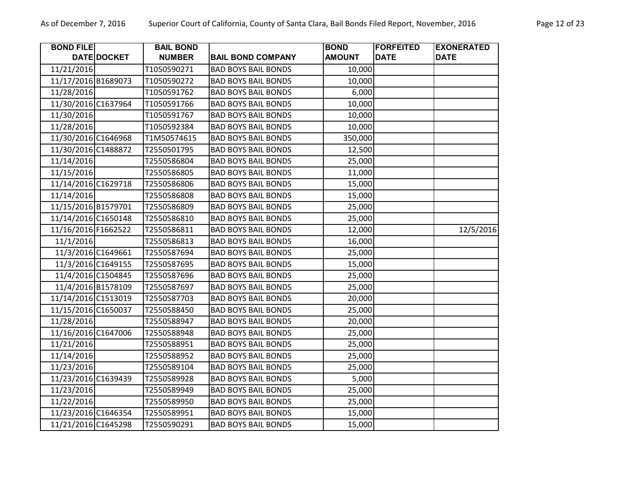| Vovember, 2016 | Pago |
|----------------|------|
|                |      |

| <b>BOND FILE</b>    |                    | <b>BAIL BOND</b> |                            | <b>BOND</b>   | <b>FORFEITED</b> | <b>EXONERATED</b> |
|---------------------|--------------------|------------------|----------------------------|---------------|------------------|-------------------|
|                     | DATE DOCKET        | <b>NUMBER</b>    | <b>BAIL BOND COMPANY</b>   | <b>AMOUNT</b> | <b>DATE</b>      | <b>DATE</b>       |
| 11/21/2016          |                    | T1050590271      | <b>BAD BOYS BAIL BONDS</b> | 10,000        |                  |                   |
| 11/17/2016 B1689073 |                    | T1050590272      | <b>BAD BOYS BAIL BONDS</b> | 10,000        |                  |                   |
| 11/28/2016          |                    | T1050591762      | <b>BAD BOYS BAIL BONDS</b> | 6,000         |                  |                   |
| 11/30/2016 C1637964 |                    | T1050591766      | <b>BAD BOYS BAIL BONDS</b> | 10,000        |                  |                   |
| 11/30/2016          |                    | T1050591767      | <b>BAD BOYS BAIL BONDS</b> | 10,000        |                  |                   |
| 11/28/2016          |                    | T1050592384      | <b>BAD BOYS BAIL BONDS</b> | 10,000        |                  |                   |
| 11/30/2016 C1646968 |                    | T1M50574615      | <b>BAD BOYS BAIL BONDS</b> | 350,000       |                  |                   |
| 11/30/2016 C1488872 |                    | T2550501795      | <b>BAD BOYS BAIL BONDS</b> | 12,500        |                  |                   |
| 11/14/2016          |                    | T2550586804      | <b>BAD BOYS BAIL BONDS</b> | 25,000        |                  |                   |
| 11/15/2016          |                    | T2550586805      | <b>BAD BOYS BAIL BONDS</b> | 11,000        |                  |                   |
| 11/14/2016 C1629718 |                    | T2550586806      | <b>BAD BOYS BAIL BONDS</b> | 15,000        |                  |                   |
| 11/14/2016          |                    | T2550586808      | <b>BAD BOYS BAIL BONDS</b> | 15,000        |                  |                   |
| 11/15/2016 B1579701 |                    | T2550586809      | <b>BAD BOYS BAIL BONDS</b> | 25,000        |                  |                   |
| 11/14/2016 C1650148 |                    | T2550586810      | <b>BAD BOYS BAIL BONDS</b> | 25,000        |                  |                   |
| 11/16/2016 F1662522 |                    | T2550586811      | <b>BAD BOYS BAIL BONDS</b> | 12,000        |                  | 12/5/2016         |
| 11/1/2016           |                    | T2550586813      | <b>BAD BOYS BAIL BONDS</b> | 16,000        |                  |                   |
|                     | 11/3/2016 C1649661 | T2550587694      | <b>BAD BOYS BAIL BONDS</b> | 25,000        |                  |                   |
|                     | 11/3/2016 C1649155 | T2550587695      | <b>BAD BOYS BAIL BONDS</b> | 15,000        |                  |                   |
|                     | 11/4/2016 C1504845 | T2550587696      | <b>BAD BOYS BAIL BONDS</b> | 25,000        |                  |                   |
|                     | 11/4/2016 B1578109 | T2550587697      | <b>BAD BOYS BAIL BONDS</b> | 25,000        |                  |                   |
| 11/14/2016 C1513019 |                    | T2550587703      | <b>BAD BOYS BAIL BONDS</b> | 20,000        |                  |                   |
| 11/15/2016 C1650037 |                    | T2550588450      | <b>BAD BOYS BAIL BONDS</b> | 25,000        |                  |                   |
| 11/28/2016          |                    | T2550588947      | <b>BAD BOYS BAIL BONDS</b> | 20,000        |                  |                   |
| 11/16/2016 C1647006 |                    | T2550588948      | <b>BAD BOYS BAIL BONDS</b> | 25,000        |                  |                   |
| 11/21/2016          |                    | T2550588951      | <b>BAD BOYS BAIL BONDS</b> | 25,000        |                  |                   |
| 11/14/2016          |                    | T2550588952      | <b>BAD BOYS BAIL BONDS</b> | 25,000        |                  |                   |
| 11/23/2016          |                    | T2550589104      | <b>BAD BOYS BAIL BONDS</b> | 25,000        |                  |                   |
| 11/23/2016 C1639439 |                    | T2550589928      | <b>BAD BOYS BAIL BONDS</b> | 5,000         |                  |                   |
| 11/23/2016          |                    | T2550589949      | <b>BAD BOYS BAIL BONDS</b> | 25,000        |                  |                   |
| 11/22/2016          |                    | T2550589950      | <b>BAD BOYS BAIL BONDS</b> | 25,000        |                  |                   |
| 11/23/2016 C1646354 |                    | T2550589951      | <b>BAD BOYS BAIL BONDS</b> | 15,000        |                  |                   |
| 11/21/2016 C1645298 |                    | T2550590291      | <b>BAD BOYS BAIL BONDS</b> | 15,000        |                  |                   |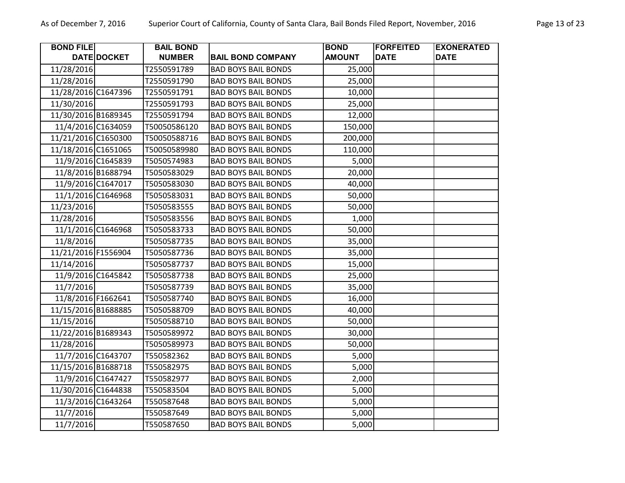| <b>BOND FILE</b>    |                    | <b>BAIL BOND</b> |                            | <b>BOND</b>   | <b>FORFEITED</b> | <b>EXONERATED</b> |
|---------------------|--------------------|------------------|----------------------------|---------------|------------------|-------------------|
|                     | <b>DATE DOCKET</b> | <b>NUMBER</b>    | <b>BAIL BOND COMPANY</b>   | <b>AMOUNT</b> | <b>DATE</b>      | <b>DATE</b>       |
| 11/28/2016          |                    | T2550591789      | <b>BAD BOYS BAIL BONDS</b> | 25,000        |                  |                   |
| 11/28/2016          |                    | T2550591790      | <b>BAD BOYS BAIL BONDS</b> | 25,000        |                  |                   |
| 11/28/2016 C1647396 |                    | T2550591791      | <b>BAD BOYS BAIL BONDS</b> | 10,000        |                  |                   |
| 11/30/2016          |                    | T2550591793      | <b>BAD BOYS BAIL BONDS</b> | 25,000        |                  |                   |
| 11/30/2016 B1689345 |                    | T2550591794      | <b>BAD BOYS BAIL BONDS</b> | 12,000        |                  |                   |
|                     | 11/4/2016 C1634059 | T50050586120     | <b>BAD BOYS BAIL BONDS</b> | 150,000       |                  |                   |
| 11/21/2016 C1650300 |                    | T50050588716     | <b>BAD BOYS BAIL BONDS</b> | 200,000       |                  |                   |
| 11/18/2016 C1651065 |                    | T50050589980     | <b>BAD BOYS BAIL BONDS</b> | 110,000       |                  |                   |
|                     | 11/9/2016 C1645839 | T5050574983      | <b>BAD BOYS BAIL BONDS</b> | 5,000         |                  |                   |
|                     | 11/8/2016 B1688794 | T5050583029      | <b>BAD BOYS BAIL BONDS</b> | 20,000        |                  |                   |
|                     | 11/9/2016 C1647017 | T5050583030      | <b>BAD BOYS BAIL BONDS</b> | 40,000        |                  |                   |
|                     | 11/1/2016 C1646968 | T5050583031      | <b>BAD BOYS BAIL BONDS</b> | 50,000        |                  |                   |
| 11/23/2016          |                    | T5050583555      | <b>BAD BOYS BAIL BONDS</b> | 50,000        |                  |                   |
| 11/28/2016          |                    | T5050583556      | <b>BAD BOYS BAIL BONDS</b> | 1,000         |                  |                   |
|                     | 11/1/2016 C1646968 | T5050583733      | <b>BAD BOYS BAIL BONDS</b> | 50,000        |                  |                   |
| 11/8/2016           |                    | T5050587735      | <b>BAD BOYS BAIL BONDS</b> | 35,000        |                  |                   |
| 11/21/2016 F1556904 |                    | T5050587736      | <b>BAD BOYS BAIL BONDS</b> | 35,000        |                  |                   |
| 11/14/2016          |                    | T5050587737      | <b>BAD BOYS BAIL BONDS</b> | 15,000        |                  |                   |
|                     | 11/9/2016 C1645842 | T5050587738      | <b>BAD BOYS BAIL BONDS</b> | 25,000        |                  |                   |
| 11/7/2016           |                    | T5050587739      | <b>BAD BOYS BAIL BONDS</b> | 35,000        |                  |                   |
| 11/8/2016 F1662641  |                    | T5050587740      | <b>BAD BOYS BAIL BONDS</b> | 16,000        |                  |                   |
| 11/15/2016 B1688885 |                    | T5050588709      | <b>BAD BOYS BAIL BONDS</b> | 40,000        |                  |                   |
| 11/15/2016          |                    | T5050588710      | <b>BAD BOYS BAIL BONDS</b> | 50,000        |                  |                   |
| 11/22/2016 B1689343 |                    | T5050589972      | <b>BAD BOYS BAIL BONDS</b> | 30,000        |                  |                   |
| 11/28/2016          |                    | T5050589973      | <b>BAD BOYS BAIL BONDS</b> | 50,000        |                  |                   |
|                     | 11/7/2016 C1643707 | T550582362       | <b>BAD BOYS BAIL BONDS</b> | 5,000         |                  |                   |
| 11/15/2016 B1688718 |                    | T550582975       | <b>BAD BOYS BAIL BONDS</b> | 5,000         |                  |                   |
|                     | 11/9/2016 C1647427 | T550582977       | <b>BAD BOYS BAIL BONDS</b> | 2,000         |                  |                   |
| 11/30/2016 C1644838 |                    | T550583504       | <b>BAD BOYS BAIL BONDS</b> | 5,000         |                  |                   |
|                     | 11/3/2016 C1643264 | T550587648       | <b>BAD BOYS BAIL BONDS</b> | 5,000         |                  |                   |
| 11/7/2016           |                    | T550587649       | <b>BAD BOYS BAIL BONDS</b> | 5,000         |                  |                   |
| 11/7/2016           |                    | T550587650       | <b>BAD BOYS BAIL BONDS</b> | 5,000         |                  |                   |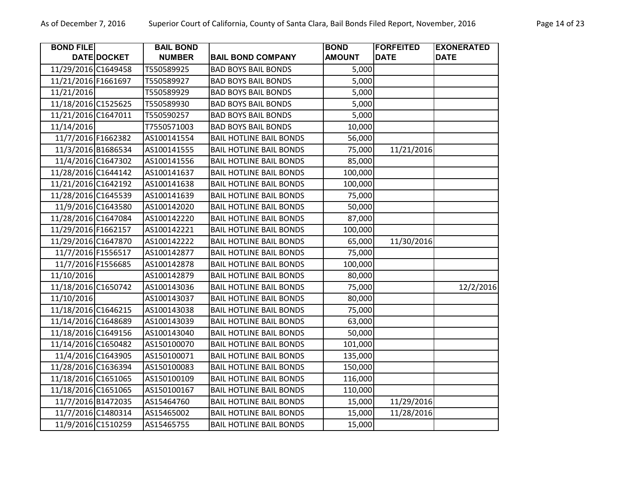| <b>BOND FILE</b>    |                    | <b>BAIL BOND</b> |                                | <b>BOND</b>   | <b>FORFEITED</b> | <b>EXONERATED</b> |
|---------------------|--------------------|------------------|--------------------------------|---------------|------------------|-------------------|
|                     | DATE DOCKET        | <b>NUMBER</b>    | <b>BAIL BOND COMPANY</b>       | <b>AMOUNT</b> | <b>DATE</b>      | <b>DATE</b>       |
| 11/29/2016 C1649458 |                    | T550589925       | <b>BAD BOYS BAIL BONDS</b>     | 5,000         |                  |                   |
| 11/21/2016 F1661697 |                    | T550589927       | <b>BAD BOYS BAIL BONDS</b>     | 5,000         |                  |                   |
| 11/21/2016          |                    | T550589929       | <b>BAD BOYS BAIL BONDS</b>     | 5,000         |                  |                   |
| 11/18/2016 C1525625 |                    | T550589930       | <b>BAD BOYS BAIL BONDS</b>     | 5,000         |                  |                   |
| 11/21/2016 C1647011 |                    | T550590257       | <b>BAD BOYS BAIL BONDS</b>     | 5,000         |                  |                   |
| 11/14/2016          |                    | T7550571003      | <b>BAD BOYS BAIL BONDS</b>     | 10,000        |                  |                   |
| 11/7/2016 F1662382  |                    | AS100141554      | <b>BAIL HOTLINE BAIL BONDS</b> | 56,000        |                  |                   |
|                     | 11/3/2016 B1686534 | AS100141555      | <b>BAIL HOTLINE BAIL BONDS</b> | 75,000        | 11/21/2016       |                   |
| 11/4/2016 C1647302  |                    | AS100141556      | <b>BAIL HOTLINE BAIL BONDS</b> | 85,000        |                  |                   |
| 11/28/2016 C1644142 |                    | AS100141637      | <b>BAIL HOTLINE BAIL BONDS</b> | 100,000       |                  |                   |
| 11/21/2016 C1642192 |                    | AS100141638      | <b>BAIL HOTLINE BAIL BONDS</b> | 100,000       |                  |                   |
| 11/28/2016 C1645539 |                    | AS100141639      | <b>BAIL HOTLINE BAIL BONDS</b> | 75,000        |                  |                   |
|                     | 11/9/2016 C1643580 | AS100142020      | <b>BAIL HOTLINE BAIL BONDS</b> | 50,000        |                  |                   |
| 11/28/2016 C1647084 |                    | AS100142220      | <b>BAIL HOTLINE BAIL BONDS</b> | 87,000        |                  |                   |
| 11/29/2016 F1662157 |                    | AS100142221      | <b>BAIL HOTLINE BAIL BONDS</b> | 100,000       |                  |                   |
| 11/29/2016 C1647870 |                    | AS100142222      | <b>BAIL HOTLINE BAIL BONDS</b> | 65,000        | 11/30/2016       |                   |
| 11/7/2016 F1556517  |                    | AS100142877      | <b>BAIL HOTLINE BAIL BONDS</b> | 75,000        |                  |                   |
| 11/7/2016 F1556685  |                    | AS100142878      | <b>BAIL HOTLINE BAIL BONDS</b> | 100,000       |                  |                   |
| 11/10/2016          |                    | AS100142879      | <b>BAIL HOTLINE BAIL BONDS</b> | 80,000        |                  |                   |
| 11/18/2016 C1650742 |                    | AS100143036      | <b>BAIL HOTLINE BAIL BONDS</b> | 75,000        |                  | 12/2/2016         |
| 11/10/2016          |                    | AS100143037      | <b>BAIL HOTLINE BAIL BONDS</b> | 80,000        |                  |                   |
| 11/18/2016 C1646215 |                    | AS100143038      | <b>BAIL HOTLINE BAIL BONDS</b> | 75,000        |                  |                   |
| 11/14/2016 C1648689 |                    | AS100143039      | <b>BAIL HOTLINE BAIL BONDS</b> | 63,000        |                  |                   |
| 11/18/2016 C1649156 |                    | AS100143040      | <b>BAIL HOTLINE BAIL BONDS</b> | 50,000        |                  |                   |
| 11/14/2016 C1650482 |                    | AS150100070      | <b>BAIL HOTLINE BAIL BONDS</b> | 101,000       |                  |                   |
| 11/4/2016 C1643905  |                    | AS150100071      | <b>BAIL HOTLINE BAIL BONDS</b> | 135,000       |                  |                   |
| 11/28/2016 C1636394 |                    | AS150100083      | <b>BAIL HOTLINE BAIL BONDS</b> | 150,000       |                  |                   |
| 11/18/2016 C1651065 |                    | AS150100109      | <b>BAIL HOTLINE BAIL BONDS</b> | 116,000       |                  |                   |
| 11/18/2016 C1651065 |                    | AS150100167      | <b>BAIL HOTLINE BAIL BONDS</b> | 110,000       |                  |                   |
| 11/7/2016 B1472035  |                    | AS15464760       | <b>BAIL HOTLINE BAIL BONDS</b> | 15,000        | 11/29/2016       |                   |
|                     | 11/7/2016 C1480314 | AS15465002       | <b>BAIL HOTLINE BAIL BONDS</b> | 15,000        | 11/28/2016       |                   |
|                     | 11/9/2016 C1510259 | AS15465755       | <b>BAIL HOTLINE BAIL BONDS</b> | 15,000        |                  |                   |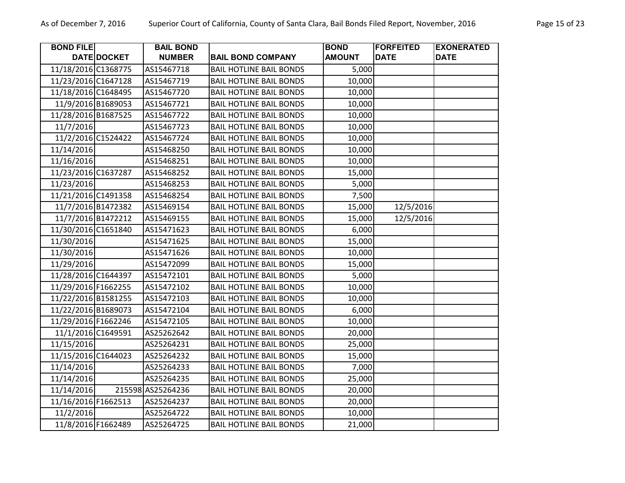| <b>BOND FILE</b>    |                    | <b>BAIL BOND</b>  |                                | <b>BOND</b>   | <b>FORFEITED</b> | <b>EXONERATED</b> |
|---------------------|--------------------|-------------------|--------------------------------|---------------|------------------|-------------------|
|                     | DATE DOCKET        | <b>NUMBER</b>     | <b>BAIL BOND COMPANY</b>       | <b>AMOUNT</b> | <b>DATE</b>      | <b>DATE</b>       |
| 11/18/2016 C1368775 |                    | AS15467718        | <b>BAIL HOTLINE BAIL BONDS</b> | 5,000         |                  |                   |
| 11/23/2016 C1647128 |                    | AS15467719        | <b>BAIL HOTLINE BAIL BONDS</b> | 10,000        |                  |                   |
| 11/18/2016 C1648495 |                    | AS15467720        | <b>BAIL HOTLINE BAIL BONDS</b> | 10,000        |                  |                   |
|                     | 11/9/2016 B1689053 | AS15467721        | <b>BAIL HOTLINE BAIL BONDS</b> | 10,000        |                  |                   |
| 11/28/2016 B1687525 |                    | AS15467722        | <b>BAIL HOTLINE BAIL BONDS</b> | 10,000        |                  |                   |
| 11/7/2016           |                    | AS15467723        | <b>BAIL HOTLINE BAIL BONDS</b> | 10,000        |                  |                   |
|                     | 11/2/2016 C1524422 | AS15467724        | <b>BAIL HOTLINE BAIL BONDS</b> | 10,000        |                  |                   |
| 11/14/2016          |                    | AS15468250        | <b>BAIL HOTLINE BAIL BONDS</b> | 10,000        |                  |                   |
| 11/16/2016          |                    | AS15468251        | <b>BAIL HOTLINE BAIL BONDS</b> | 10,000        |                  |                   |
| 11/23/2016 C1637287 |                    | AS15468252        | <b>BAIL HOTLINE BAIL BONDS</b> | 15,000        |                  |                   |
| 11/23/2016          |                    | AS15468253        | <b>BAIL HOTLINE BAIL BONDS</b> | 5,000         |                  |                   |
| 11/21/2016 C1491358 |                    | AS15468254        | <b>BAIL HOTLINE BAIL BONDS</b> | 7,500         |                  |                   |
|                     | 11/7/2016 B1472382 | AS15469154        | <b>BAIL HOTLINE BAIL BONDS</b> | 15,000        | 12/5/2016        |                   |
|                     | 11/7/2016 B1472212 | AS15469155        | <b>BAIL HOTLINE BAIL BONDS</b> | 15,000        | 12/5/2016        |                   |
| 11/30/2016 C1651840 |                    | AS15471623        | <b>BAIL HOTLINE BAIL BONDS</b> | 6,000         |                  |                   |
| 11/30/2016          |                    | AS15471625        | <b>BAIL HOTLINE BAIL BONDS</b> | 15,000        |                  |                   |
| 11/30/2016          |                    | AS15471626        | <b>BAIL HOTLINE BAIL BONDS</b> | 10,000        |                  |                   |
| 11/29/2016          |                    | AS15472099        | <b>BAIL HOTLINE BAIL BONDS</b> | 15,000        |                  |                   |
| 11/28/2016 C1644397 |                    | AS15472101        | <b>BAIL HOTLINE BAIL BONDS</b> | 5,000         |                  |                   |
| 11/29/2016 F1662255 |                    | AS15472102        | <b>BAIL HOTLINE BAIL BONDS</b> | 10,000        |                  |                   |
| 11/22/2016 B1581255 |                    | AS15472103        | <b>BAIL HOTLINE BAIL BONDS</b> | 10,000        |                  |                   |
| 11/22/2016 B1689073 |                    | AS15472104        | <b>BAIL HOTLINE BAIL BONDS</b> | 6,000         |                  |                   |
| 11/29/2016 F1662246 |                    | AS15472105        | <b>BAIL HOTLINE BAIL BONDS</b> | 10,000        |                  |                   |
|                     | 11/1/2016 C1649591 | AS25262642        | <b>BAIL HOTLINE BAIL BONDS</b> | 20,000        |                  |                   |
| 11/15/2016          |                    | AS25264231        | <b>BAIL HOTLINE BAIL BONDS</b> | 25,000        |                  |                   |
| 11/15/2016 C1644023 |                    | AS25264232        | <b>BAIL HOTLINE BAIL BONDS</b> | 15,000        |                  |                   |
| 11/14/2016          |                    | AS25264233        | <b>BAIL HOTLINE BAIL BONDS</b> | 7,000         |                  |                   |
| 11/14/2016          |                    | AS25264235        | <b>BAIL HOTLINE BAIL BONDS</b> | 25,000        |                  |                   |
| 11/14/2016          |                    | 215598 AS25264236 | <b>BAIL HOTLINE BAIL BONDS</b> | 20,000        |                  |                   |
| 11/16/2016 F1662513 |                    | AS25264237        | <b>BAIL HOTLINE BAIL BONDS</b> | 20,000        |                  |                   |
| 11/2/2016           |                    | AS25264722        | <b>BAIL HOTLINE BAIL BONDS</b> | 10,000        |                  |                   |
|                     | 11/8/2016 F1662489 | AS25264725        | <b>BAIL HOTLINE BAIL BONDS</b> | 21,000        |                  |                   |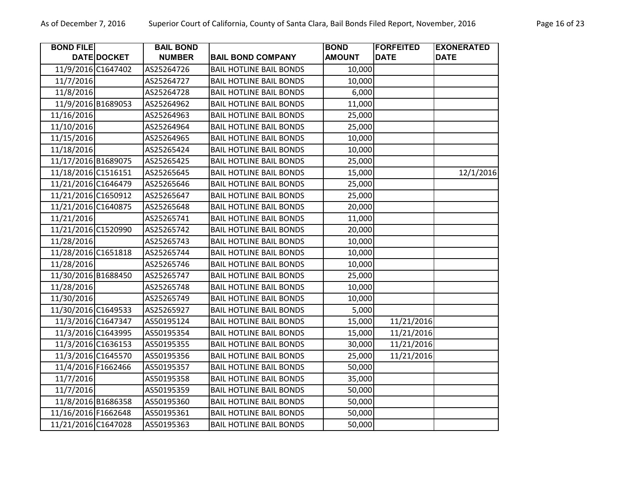| <b>BOND FILE</b>    |                    | <b>BAIL BOND</b> |                                | <b>BOND</b>   | <b>FORFEITED</b> | <b>EXONERATED</b> |
|---------------------|--------------------|------------------|--------------------------------|---------------|------------------|-------------------|
|                     | DATE DOCKET        | <b>NUMBER</b>    | <b>BAIL BOND COMPANY</b>       | <b>AMOUNT</b> | <b>DATE</b>      | <b>DATE</b>       |
|                     | 11/9/2016 C1647402 | AS25264726       | <b>BAIL HOTLINE BAIL BONDS</b> | 10,000        |                  |                   |
| 11/7/2016           |                    | AS25264727       | <b>BAIL HOTLINE BAIL BONDS</b> | 10,000        |                  |                   |
| 11/8/2016           |                    | AS25264728       | <b>BAIL HOTLINE BAIL BONDS</b> | 6,000         |                  |                   |
|                     | 11/9/2016 B1689053 | AS25264962       | <b>BAIL HOTLINE BAIL BONDS</b> | 11,000        |                  |                   |
| 11/16/2016          |                    | AS25264963       | <b>BAIL HOTLINE BAIL BONDS</b> | 25,000        |                  |                   |
| 11/10/2016          |                    | AS25264964       | <b>BAIL HOTLINE BAIL BONDS</b> | 25,000        |                  |                   |
| 11/15/2016          |                    | AS25264965       | <b>BAIL HOTLINE BAIL BONDS</b> | 10,000        |                  |                   |
| 11/18/2016          |                    | AS25265424       | <b>BAIL HOTLINE BAIL BONDS</b> | 10,000        |                  |                   |
| 11/17/2016 B1689075 |                    | AS25265425       | <b>BAIL HOTLINE BAIL BONDS</b> | 25,000        |                  |                   |
| 11/18/2016 C1516151 |                    | AS25265645       | <b>BAIL HOTLINE BAIL BONDS</b> | 15,000        |                  | 12/1/2016         |
| 11/21/2016 C1646479 |                    | AS25265646       | <b>BAIL HOTLINE BAIL BONDS</b> | 25,000        |                  |                   |
| 11/21/2016 C1650912 |                    | AS25265647       | <b>BAIL HOTLINE BAIL BONDS</b> | 25,000        |                  |                   |
| 11/21/2016 C1640875 |                    | AS25265648       | <b>BAIL HOTLINE BAIL BONDS</b> | 20,000        |                  |                   |
| 11/21/2016          |                    | AS25265741       | <b>BAIL HOTLINE BAIL BONDS</b> | 11,000        |                  |                   |
| 11/21/2016 C1520990 |                    | AS25265742       | <b>BAIL HOTLINE BAIL BONDS</b> | 20,000        |                  |                   |
| 11/28/2016          |                    | AS25265743       | <b>BAIL HOTLINE BAIL BONDS</b> | 10,000        |                  |                   |
| 11/28/2016 C1651818 |                    | AS25265744       | <b>BAIL HOTLINE BAIL BONDS</b> | 10,000        |                  |                   |
| 11/28/2016          |                    | AS25265746       | <b>BAIL HOTLINE BAIL BONDS</b> | 10,000        |                  |                   |
| 11/30/2016 B1688450 |                    | AS25265747       | <b>BAIL HOTLINE BAIL BONDS</b> | 25,000        |                  |                   |
| 11/28/2016          |                    | AS25265748       | <b>BAIL HOTLINE BAIL BONDS</b> | 10,000        |                  |                   |
| 11/30/2016          |                    | AS25265749       | <b>BAIL HOTLINE BAIL BONDS</b> | 10,000        |                  |                   |
| 11/30/2016 C1649533 |                    | AS25265927       | <b>BAIL HOTLINE BAIL BONDS</b> | 5,000         |                  |                   |
|                     | 11/3/2016 C1647347 | AS50195124       | <b>BAIL HOTLINE BAIL BONDS</b> | 15,000        | 11/21/2016       |                   |
|                     | 11/3/2016 C1643995 | AS50195354       | <b>BAIL HOTLINE BAIL BONDS</b> | 15,000        | 11/21/2016       |                   |
|                     | 11/3/2016 C1636153 | AS50195355       | <b>BAIL HOTLINE BAIL BONDS</b> | 30,000        | 11/21/2016       |                   |
|                     | 11/3/2016 C1645570 | AS50195356       | <b>BAIL HOTLINE BAIL BONDS</b> | 25,000        | 11/21/2016       |                   |
|                     | 11/4/2016 F1662466 | AS50195357       | <b>BAIL HOTLINE BAIL BONDS</b> | 50,000        |                  |                   |
| 11/7/2016           |                    | AS50195358       | <b>BAIL HOTLINE BAIL BONDS</b> | 35,000        |                  |                   |
| 11/7/2016           |                    | AS50195359       | <b>BAIL HOTLINE BAIL BONDS</b> | 50,000        |                  |                   |
|                     | 11/8/2016 B1686358 | AS50195360       | <b>BAIL HOTLINE BAIL BONDS</b> | 50,000        |                  |                   |
| 11/16/2016 F1662648 |                    | AS50195361       | <b>BAIL HOTLINE BAIL BONDS</b> | 50,000        |                  |                   |
| 11/21/2016 C1647028 |                    | AS50195363       | <b>BAIL HOTLINE BAIL BONDS</b> | 50,000        |                  |                   |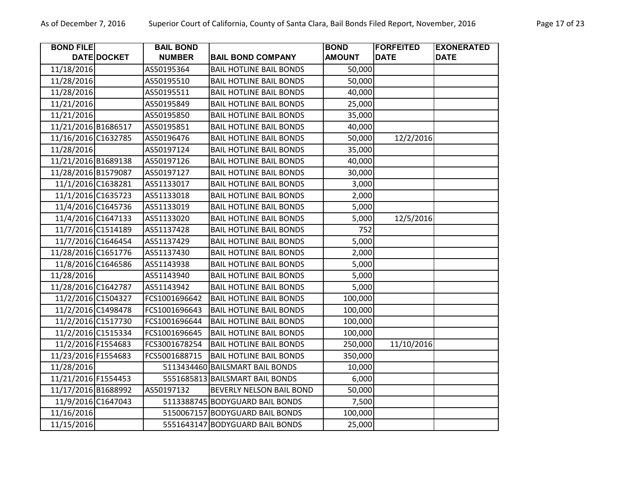| <b>BOND FILE</b>    |                    | <b>BAIL BOND</b> |                                 | <b>BOND</b>   | <b>FORFEITED</b> | <b>EXONERATED</b> |
|---------------------|--------------------|------------------|---------------------------------|---------------|------------------|-------------------|
|                     | DATE DOCKET        | <b>NUMBER</b>    | <b>BAIL BOND COMPANY</b>        | <b>AMOUNT</b> | <b>DATE</b>      | <b>DATE</b>       |
| 11/18/2016          |                    | AS50195364       | <b>BAIL HOTLINE BAIL BONDS</b>  | 50,000        |                  |                   |
| 11/28/2016          |                    | AS50195510       | <b>BAIL HOTLINE BAIL BONDS</b>  | 50,000        |                  |                   |
| 11/28/2016          |                    | AS50195511       | <b>BAIL HOTLINE BAIL BONDS</b>  | 40,000        |                  |                   |
| 11/21/2016          |                    | AS50195849       | <b>BAIL HOTLINE BAIL BONDS</b>  | 25,000        |                  |                   |
| 11/21/2016          |                    | AS50195850       | <b>BAIL HOTLINE BAIL BONDS</b>  | 35,000        |                  |                   |
| 11/21/2016 B1686517 |                    | AS50195851       | <b>BAIL HOTLINE BAIL BONDS</b>  | 40,000        |                  |                   |
| 11/16/2016 C1632785 |                    | AS50196476       | <b>BAIL HOTLINE BAIL BONDS</b>  | 50,000        | 12/2/2016        |                   |
| 11/28/2016          |                    | AS50197124       | <b>BAIL HOTLINE BAIL BONDS</b>  | 35,000        |                  |                   |
| 11/21/2016 B1689138 |                    | AS50197126       | <b>BAIL HOTLINE BAIL BONDS</b>  | 40,000        |                  |                   |
| 11/28/2016 B1579087 |                    | AS50197127       | <b>BAIL HOTLINE BAIL BONDS</b>  | 30,000        |                  |                   |
|                     | 11/1/2016 C1638281 | AS51133017       | <b>BAIL HOTLINE BAIL BONDS</b>  | 3,000         |                  |                   |
|                     | 11/1/2016 C1635723 | AS51133018       | <b>BAIL HOTLINE BAIL BONDS</b>  | 2,000         |                  |                   |
|                     | 11/4/2016 C1645736 | AS51133019       | <b>BAIL HOTLINE BAIL BONDS</b>  | 5,000         |                  |                   |
|                     | 11/4/2016 C1647133 | AS51133020       | <b>BAIL HOTLINE BAIL BONDS</b>  | 5,000         | 12/5/2016        |                   |
|                     | 11/7/2016 C1514189 | AS51137428       | <b>BAIL HOTLINE BAIL BONDS</b>  | 752           |                  |                   |
|                     | 11/7/2016 C1646454 | AS51137429       | <b>BAIL HOTLINE BAIL BONDS</b>  | 5,000         |                  |                   |
| 11/28/2016 C1651776 |                    | AS51137430       | <b>BAIL HOTLINE BAIL BONDS</b>  | 2,000         |                  |                   |
|                     | 11/8/2016 C1646586 | AS51143938       | <b>BAIL HOTLINE BAIL BONDS</b>  | 5,000         |                  |                   |
| 11/28/2016          |                    | AS51143940       | <b>BAIL HOTLINE BAIL BONDS</b>  | 5,000         |                  |                   |
| 11/28/2016 C1642787 |                    | AS51143942       | <b>BAIL HOTLINE BAIL BONDS</b>  | 5,000         |                  |                   |
|                     | 11/2/2016 C1504327 | FCS1001696642    | <b>BAIL HOTLINE BAIL BONDS</b>  | 100,000       |                  |                   |
|                     | 11/2/2016 C1498478 | FCS1001696643    | <b>BAIL HOTLINE BAIL BONDS</b>  | 100,000       |                  |                   |
|                     | 11/2/2016 C1517730 | FCS1001696644    | <b>BAIL HOTLINE BAIL BONDS</b>  | 100,000       |                  |                   |
|                     | 11/2/2016 C1515334 | FCS1001696645    | <b>BAIL HOTLINE BAIL BONDS</b>  | 100,000       |                  |                   |
| 11/2/2016 F1554683  |                    | FCS3001678254    | <b>BAIL HOTLINE BAIL BONDS</b>  | 250,000       | 11/10/2016       |                   |
| 11/23/2016 F1554683 |                    | FCS5001688715    | <b>BAIL HOTLINE BAIL BONDS</b>  | 350,000       |                  |                   |
| 11/28/2016          |                    |                  | 5113434460 BAILSMART BAIL BONDS | 10,000        |                  |                   |
| 11/21/2016 F1554453 |                    |                  | 5551685813 BAILSMART BAIL BONDS | 6,000         |                  |                   |
| 11/17/2016 B1688992 |                    | AS50197132       | BEVERLY NELSON BAIL BOND        | 50,000        |                  |                   |
|                     | 11/9/2016 C1647043 |                  | 5113388745 BODYGUARD BAIL BONDS | 7,500         |                  |                   |
| 11/16/2016          |                    |                  | 5150067157 BODYGUARD BAIL BONDS | 100,000       |                  |                   |
| 11/15/2016          |                    |                  | 5551643147 BODYGUARD BAIL BONDS | 25,000        |                  |                   |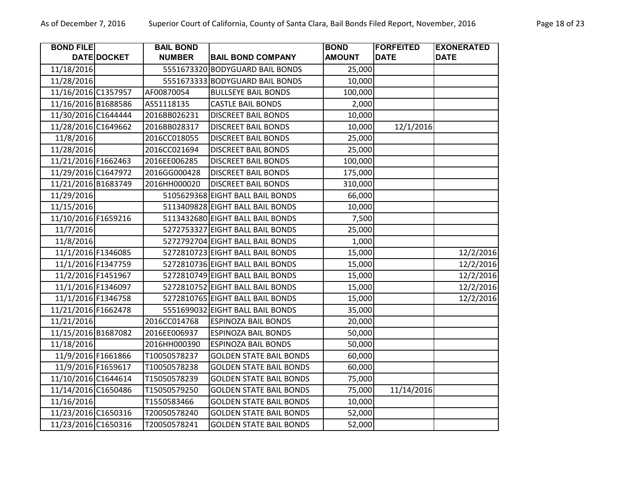| <b>BOND FILE</b>    |                    | <b>BAIL BOND</b> |                                  | <b>BOND</b>   | <b>FORFEITED</b> | <b>EXONERATED</b> |
|---------------------|--------------------|------------------|----------------------------------|---------------|------------------|-------------------|
|                     | DATE DOCKET        | <b>NUMBER</b>    | <b>BAIL BOND COMPANY</b>         | <b>AMOUNT</b> | <b>DATE</b>      | <b>DATE</b>       |
| 11/18/2016          |                    |                  | 5551673320 BODYGUARD BAIL BONDS  | 25,000        |                  |                   |
| 11/28/2016          |                    |                  | 5551673333 BODYGUARD BAIL BONDS  | 10,000        |                  |                   |
| 11/16/2016 C1357957 |                    | AF00870054       | <b>BULLSEYE BAIL BONDS</b>       | 100,000       |                  |                   |
| 11/16/2016 B1688586 |                    | AS51118135       | <b>CASTLE BAIL BONDS</b>         | 2,000         |                  |                   |
| 11/30/2016 C1644444 |                    | 2016BB026231     | <b>DISCREET BAIL BONDS</b>       | 10,000        |                  |                   |
| 11/28/2016 C1649662 |                    | 2016BB028317     | <b>DISCREET BAIL BONDS</b>       | 10,000        | 12/1/2016        |                   |
| 11/8/2016           |                    | 2016CC018055     | <b>DISCREET BAIL BONDS</b>       | 25,000        |                  |                   |
| 11/28/2016          |                    | 2016CC021694     | <b>DISCREET BAIL BONDS</b>       | 25,000        |                  |                   |
| 11/21/2016 F1662463 |                    | 2016EE006285     | <b>DISCREET BAIL BONDS</b>       | 100,000       |                  |                   |
| 11/29/2016 C1647972 |                    | 2016GG000428     | <b>DISCREET BAIL BONDS</b>       | 175,000       |                  |                   |
| 11/21/2016 B1683749 |                    | 2016HH000020     | <b>DISCREET BAIL BONDS</b>       | 310,000       |                  |                   |
| 11/29/2016          |                    |                  | 5105629368 EIGHT BALL BAIL BONDS | 66,000        |                  |                   |
| 11/15/2016          |                    |                  | 5113409828 EIGHT BALL BAIL BONDS | 10,000        |                  |                   |
| 11/10/2016 F1659216 |                    |                  | 5113432680 EIGHT BALL BAIL BONDS | 7,500         |                  |                   |
| 11/7/2016           |                    |                  | 5272753327 EIGHT BALL BAIL BONDS | 25,000        |                  |                   |
| 11/8/2016           |                    |                  | 5272792704 EIGHT BALL BAIL BONDS | 1,000         |                  |                   |
|                     | 11/1/2016 F1346085 |                  | 5272810723 EIGHT BALL BAIL BONDS | 15,000        |                  | 12/2/2016         |
|                     | 11/1/2016 F1347759 |                  | 5272810736 EIGHT BALL BAIL BONDS | 15,000        |                  | 12/2/2016         |
|                     | 11/2/2016 F1451967 |                  | 5272810749 EIGHT BALL BAIL BONDS | 15,000        |                  | 12/2/2016         |
|                     | 11/1/2016 F1346097 |                  | 5272810752 EIGHT BALL BAIL BONDS | 15,000        |                  | 12/2/2016         |
|                     | 11/1/2016 F1346758 |                  | 5272810765 EIGHT BALL BAIL BONDS | 15,000        |                  | 12/2/2016         |
| 11/21/2016 F1662478 |                    |                  | 5551699032 EIGHT BALL BAIL BONDS | 35,000        |                  |                   |
| 11/21/2016          |                    | 2016CC014768     | <b>ESPINOZA BAIL BONDS</b>       | 20,000        |                  |                   |
| 11/15/2016 B1687082 |                    | 2016EE006937     | <b>ESPINOZA BAIL BONDS</b>       | 50,000        |                  |                   |
| 11/18/2016          |                    | 2016HH000390     | <b>ESPINOZA BAIL BONDS</b>       | 50,000        |                  |                   |
|                     | 11/9/2016 F1661866 | T10050578237     | <b>GOLDEN STATE BAIL BONDS</b>   | 60,000        |                  |                   |
|                     | 11/9/2016 F1659617 | T10050578238     | <b>GOLDEN STATE BAIL BONDS</b>   | 60,000        |                  |                   |
| 11/10/2016 C1644614 |                    | T15050578239     | <b>GOLDEN STATE BAIL BONDS</b>   | 75,000        |                  |                   |
| 11/14/2016 C1650486 |                    | T15050579250     | <b>GOLDEN STATE BAIL BONDS</b>   | 75,000        | 11/14/2016       |                   |
| 11/16/2016          |                    | T1550583466      | <b>GOLDEN STATE BAIL BONDS</b>   | 10,000        |                  |                   |
| 11/23/2016 C1650316 |                    | T20050578240     | <b>GOLDEN STATE BAIL BONDS</b>   | 52,000        |                  |                   |
| 11/23/2016 C1650316 |                    | T20050578241     | <b>GOLDEN STATE BAIL BONDS</b>   | 52,000        |                  |                   |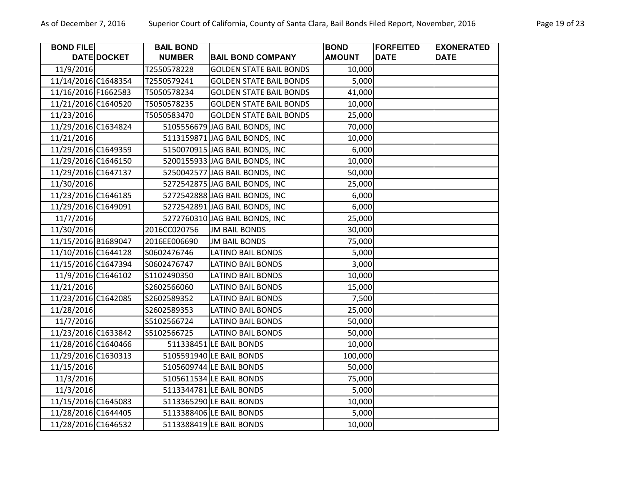| <b>BOND FILE</b>    |             | <b>BAIL BOND</b> |                                | <b>BOND</b>   | <b>FORFEITED</b> | <b>EXONERATED</b> |
|---------------------|-------------|------------------|--------------------------------|---------------|------------------|-------------------|
|                     | DATE DOCKET | <b>NUMBER</b>    | <b>BAIL BOND COMPANY</b>       | <b>AMOUNT</b> | <b>DATE</b>      | <b>DATE</b>       |
| 11/9/2016           |             | T2550578228      | <b>GOLDEN STATE BAIL BONDS</b> | 10,000        |                  |                   |
| 11/14/2016 C1648354 |             | T2550579241      | <b>GOLDEN STATE BAIL BONDS</b> | 5,000         |                  |                   |
| 11/16/2016 F1662583 |             | T5050578234      | <b>GOLDEN STATE BAIL BONDS</b> | 41,000        |                  |                   |
| 11/21/2016 C1640520 |             | T5050578235      | <b>GOLDEN STATE BAIL BONDS</b> | 10,000        |                  |                   |
| 11/23/2016          |             | T5050583470      | <b>GOLDEN STATE BAIL BONDS</b> | 25,000        |                  |                   |
| 11/29/2016 C1634824 |             |                  | 5105556679 JAG BAIL BONDS, INC | 70,000        |                  |                   |
| 11/21/2016          |             |                  | 5113159871 JAG BAIL BONDS, INC | 10,000        |                  |                   |
| 11/29/2016 C1649359 |             |                  | 5150070915 JAG BAIL BONDS, INC | 6,000         |                  |                   |
| 11/29/2016 C1646150 |             |                  | 5200155933 JAG BAIL BONDS, INC | 10,000        |                  |                   |
| 11/29/2016 C1647137 |             |                  | 5250042577 JAG BAIL BONDS, INC | 50,000        |                  |                   |
| 11/30/2016          |             |                  | 5272542875 JAG BAIL BONDS, INC | 25,000        |                  |                   |
| 11/23/2016 C1646185 |             |                  | 5272542888 JAG BAIL BONDS, INC | 6,000         |                  |                   |
| 11/29/2016 C1649091 |             |                  | 5272542891 JAG BAIL BONDS, INC | 6,000         |                  |                   |
| 11/7/2016           |             |                  | 5272760310 JAG BAIL BONDS, INC | 25,000        |                  |                   |
| 11/30/2016          |             | 2016CC020756     | <b>JM BAIL BONDS</b>           | 30,000        |                  |                   |
| 11/15/2016 B1689047 |             | 2016EE006690     | <b>JM BAIL BONDS</b>           | 75,000        |                  |                   |
| 11/10/2016 C1644128 |             | S0602476746      | <b>LATINO BAIL BONDS</b>       | 5,000         |                  |                   |
| 11/15/2016 C1647394 |             | S0602476747      | <b>LATINO BAIL BONDS</b>       | 3,000         |                  |                   |
| 11/9/2016 C1646102  |             | S1102490350      | <b>LATINO BAIL BONDS</b>       | 10,000        |                  |                   |
| 11/21/2016          |             | S2602566060      | <b>LATINO BAIL BONDS</b>       | 15,000        |                  |                   |
| 11/23/2016 C1642085 |             | S2602589352      | LATINO BAIL BONDS              | 7,500         |                  |                   |
| 11/28/2016          |             | S2602589353      | <b>LATINO BAIL BONDS</b>       | 25,000        |                  |                   |
| 11/7/2016           |             | S5102566724      | <b>LATINO BAIL BONDS</b>       | 50,000        |                  |                   |
| 11/23/2016 C1633842 |             | S5102566725      | <b>LATINO BAIL BONDS</b>       | 50,000        |                  |                   |
| 11/28/2016 C1640466 |             |                  | 511338451 LE BAIL BONDS        | 10,000        |                  |                   |
| 11/29/2016 C1630313 |             |                  | 5105591940 LE BAIL BONDS       | 100,000       |                  |                   |
| 11/15/2016          |             |                  | 5105609744 LE BAIL BONDS       | 50,000        |                  |                   |
| 11/3/2016           |             |                  | 5105611534 LE BAIL BONDS       | 75,000        |                  |                   |
| 11/3/2016           |             |                  | 5113344781 LE BAIL BONDS       | 5,000         |                  |                   |
| 11/15/2016 C1645083 |             |                  | 5113365290 LE BAIL BONDS       | 10,000        |                  |                   |
| 11/28/2016 C1644405 |             |                  | 5113388406 LE BAIL BONDS       | 5,000         |                  |                   |
| 11/28/2016 C1646532 |             |                  | 5113388419 LE BAIL BONDS       | 10,000        |                  |                   |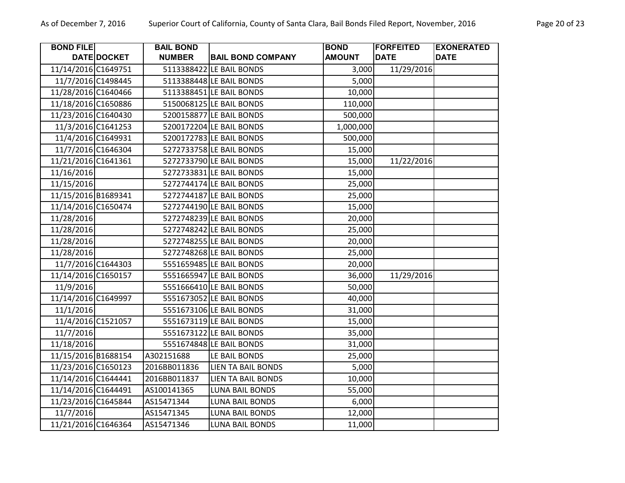| <b>BOND FILE</b>    |                    | <b>BAIL BOND</b> |                           | <b>BOND</b>   | <b>FORFEITED</b> | <b>EXONERATED</b> |
|---------------------|--------------------|------------------|---------------------------|---------------|------------------|-------------------|
|                     | DATE DOCKET        | <b>NUMBER</b>    | <b>BAIL BOND COMPANY</b>  | <b>AMOUNT</b> | <b>DATE</b>      | <b>DATE</b>       |
| 11/14/2016 C1649751 |                    |                  | 5113388422 LE BAIL BONDS  | 3,000         | 11/29/2016       |                   |
|                     | 11/7/2016 C1498445 |                  | 5113388448 LE BAIL BONDS  | 5,000         |                  |                   |
| 11/28/2016 C1640466 |                    |                  | 5113388451 LE BAIL BONDS  | 10,000        |                  |                   |
| 11/18/2016 C1650886 |                    |                  | 5150068125 LE BAIL BONDS  | 110,000       |                  |                   |
| 11/23/2016 C1640430 |                    |                  | 5200158877 LE BAIL BONDS  | 500,000       |                  |                   |
|                     | 11/3/2016 C1641253 |                  | 5200172204 LE BAIL BONDS  | 1,000,000     |                  |                   |
|                     | 11/4/2016 C1649931 |                  | 5200172783 LE BAIL BONDS  | 500,000       |                  |                   |
|                     | 11/7/2016 C1646304 |                  | 5272733758 LE BAIL BONDS  | 15,000        |                  |                   |
| 11/21/2016 C1641361 |                    |                  | 5272733790 LE BAIL BONDS  | 15,000        | 11/22/2016       |                   |
| 11/16/2016          |                    |                  | 5272733831 LE BAIL BONDS  | 15,000        |                  |                   |
| 11/15/2016          |                    |                  | 5272744174 LE BAIL BONDS  | 25,000        |                  |                   |
| 11/15/2016 B1689341 |                    |                  | 5272744187 LE BAIL BONDS  | 25,000        |                  |                   |
| 11/14/2016 C1650474 |                    |                  | 5272744190 LE BAIL BONDS  | 15,000        |                  |                   |
| 11/28/2016          |                    |                  | 5272748239 LE BAIL BONDS  | 20,000        |                  |                   |
| 11/28/2016          |                    |                  | 5272748242 LE BAIL BONDS  | 25,000        |                  |                   |
| 11/28/2016          |                    |                  | 5272748255 LE BAIL BONDS  | 20,000        |                  |                   |
| 11/28/2016          |                    |                  | 5272748268 LE BAIL BONDS  | 25,000        |                  |                   |
|                     | 11/7/2016 C1644303 |                  | 5551659485 LE BAIL BONDS  | 20,000        |                  |                   |
| 11/14/2016 C1650157 |                    |                  | 5551665947 LE BAIL BONDS  | 36,000        | 11/29/2016       |                   |
| 11/9/2016           |                    |                  | 5551666410 LE BAIL BONDS  | 50,000        |                  |                   |
| 11/14/2016 C1649997 |                    |                  | 5551673052 LE BAIL BONDS  | 40,000        |                  |                   |
| 11/1/2016           |                    |                  | 5551673106 LE BAIL BONDS  | 31,000        |                  |                   |
|                     | 11/4/2016 C1521057 |                  | 5551673119 LE BAIL BONDS  | 15,000        |                  |                   |
| 11/7/2016           |                    |                  | 5551673122 LE BAIL BONDS  | 35,000        |                  |                   |
| 11/18/2016          |                    |                  | 5551674848 LE BAIL BONDS  | 31,000        |                  |                   |
| 11/15/2016 B1688154 |                    | A302151688       | LE BAIL BONDS             | 25,000        |                  |                   |
| 11/23/2016 C1650123 |                    | 2016BB011836     | <b>LIEN TA BAIL BONDS</b> | 5,000         |                  |                   |
| 11/14/2016 C1644441 |                    | 2016BB011837     | <b>LIEN TA BAIL BONDS</b> | 10,000        |                  |                   |
| 11/14/2016 C1644491 |                    | AS100141365      | <b>LUNA BAIL BONDS</b>    | 55,000        |                  |                   |
| 11/23/2016 C1645844 |                    | AS15471344       | <b>LUNA BAIL BONDS</b>    | 6,000         |                  |                   |
| 11/7/2016           |                    | AS15471345       | LUNA BAIL BONDS           | 12,000        |                  |                   |
| 11/21/2016 C1646364 |                    | AS15471346       | <b>LUNA BAIL BONDS</b>    | 11,000        |                  |                   |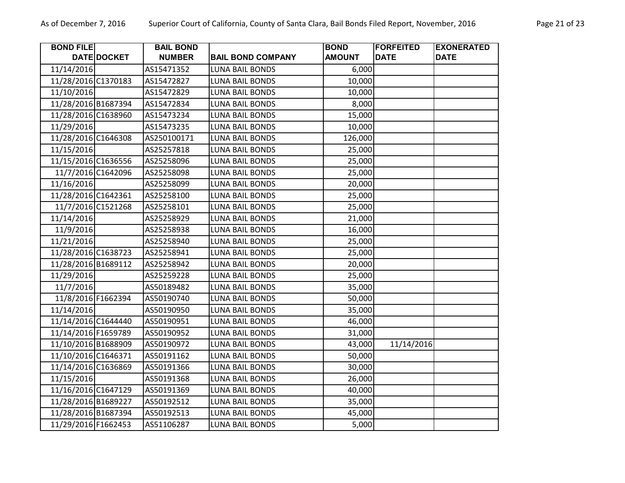| <b>BOND FILE</b>    |                    | <b>BAIL BOND</b> |                          | <b>BOND</b>   | <b>FORFEITED</b> | <b>EXONERATED</b> |
|---------------------|--------------------|------------------|--------------------------|---------------|------------------|-------------------|
|                     | <b>DATE DOCKET</b> | <b>NUMBER</b>    | <b>BAIL BOND COMPANY</b> | <b>AMOUNT</b> | <b>DATE</b>      | <b>DATE</b>       |
| 11/14/2016          |                    | AS15471352       | <b>LUNA BAIL BONDS</b>   | 6,000         |                  |                   |
| 11/28/2016 C1370183 |                    | AS15472827       | LUNA BAIL BONDS          | 10,000        |                  |                   |
| 11/10/2016          |                    | AS15472829       | LUNA BAIL BONDS          | 10,000        |                  |                   |
| 11/28/2016 B1687394 |                    | AS15472834       | LUNA BAIL BONDS          | 8,000         |                  |                   |
| 11/28/2016 C1638960 |                    | AS15473234       | <b>LUNA BAIL BONDS</b>   | 15,000        |                  |                   |
| 11/29/2016          |                    | AS15473235       | LUNA BAIL BONDS          | 10,000        |                  |                   |
| 11/28/2016 C1646308 |                    | AS250100171      | <b>LUNA BAIL BONDS</b>   | 126,000       |                  |                   |
| 11/15/2016          |                    | AS25257818       | <b>LUNA BAIL BONDS</b>   | 25,000        |                  |                   |
| 11/15/2016 C1636556 |                    | AS25258096       | <b>LUNA BAIL BONDS</b>   | 25,000        |                  |                   |
|                     | 11/7/2016 C1642096 | AS25258098       | <b>LUNA BAIL BONDS</b>   | 25,000        |                  |                   |
| 11/16/2016          |                    | AS25258099       | LUNA BAIL BONDS          | 20,000        |                  |                   |
| 11/28/2016 C1642361 |                    | AS25258100       | LUNA BAIL BONDS          | 25,000        |                  |                   |
|                     | 11/7/2016 C1521268 | AS25258101       | LUNA BAIL BONDS          | 25,000        |                  |                   |
| 11/14/2016          |                    | AS25258929       | <b>LUNA BAIL BONDS</b>   | 21,000        |                  |                   |
| 11/9/2016           |                    | AS25258938       | LUNA BAIL BONDS          | 16,000        |                  |                   |
| 11/21/2016          |                    | AS25258940       | <b>LUNA BAIL BONDS</b>   | 25,000        |                  |                   |
| 11/28/2016 C1638723 |                    | AS25258941       | LUNA BAIL BONDS          | 25,000        |                  |                   |
| 11/28/2016 B1689112 |                    | AS25258942       | <b>LUNA BAIL BONDS</b>   | 20,000        |                  |                   |
| 11/29/2016          |                    | AS25259228       | <b>LUNA BAIL BONDS</b>   | 25,000        |                  |                   |
| 11/7/2016           |                    | AS50189482       | <b>LUNA BAIL BONDS</b>   | 35,000        |                  |                   |
| 11/8/2016 F1662394  |                    | AS50190740       | LUNA BAIL BONDS          | 50,000        |                  |                   |
| 11/14/2016          |                    | AS50190950       | LUNA BAIL BONDS          | 35,000        |                  |                   |
| 11/14/2016 C1644440 |                    | AS50190951       | <b>LUNA BAIL BONDS</b>   | 46,000        |                  |                   |
| 11/14/2016 F1659789 |                    | AS50190952       | <b>LUNA BAIL BONDS</b>   | 31,000        |                  |                   |
| 11/10/2016 B1688909 |                    | AS50190972       | LUNA BAIL BONDS          | 43,000        | 11/14/2016       |                   |
| 11/10/2016 C1646371 |                    | AS50191162       | <b>LUNA BAIL BONDS</b>   | 50,000        |                  |                   |
| 11/14/2016 C1636869 |                    | AS50191366       | LUNA BAIL BONDS          | 30,000        |                  |                   |
| 11/15/2016          |                    | AS50191368       | <b>LUNA BAIL BONDS</b>   | 26,000        |                  |                   |
| 11/16/2016 C1647129 |                    | AS50191369       | <b>LUNA BAIL BONDS</b>   | 40,000        |                  |                   |
| 11/28/2016 B1689227 |                    | AS50192512       | LUNA BAIL BONDS          | 35,000        |                  |                   |
| 11/28/2016 B1687394 |                    | AS50192513       | LUNA BAIL BONDS          | 45,000        |                  |                   |
| 11/29/2016 F1662453 |                    | AS51106287       | <b>LUNA BAIL BONDS</b>   | 5,000         |                  |                   |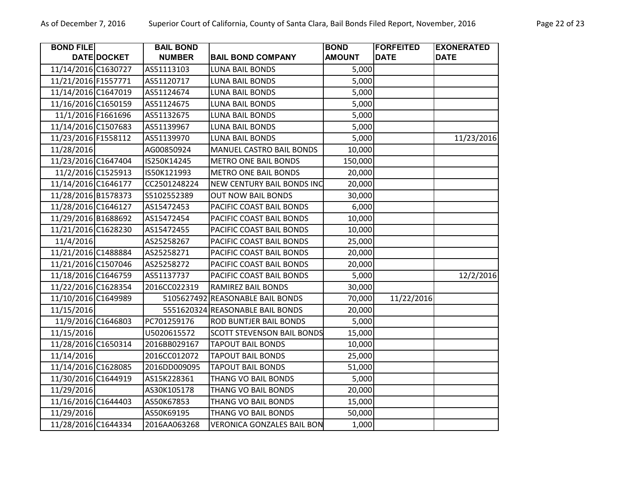|  |  | a Clara, Bail Bonds Filed Report, November, 2016 |  |  |  |
|--|--|--------------------------------------------------|--|--|--|
|  |  |                                                  |  |  |  |
|  |  |                                                  |  |  |  |

| <b>BOND FILE</b>    | DATE DOCKET | <b>BAIL BOND</b><br><b>NUMBER</b> | <b>BAIL BOND COMPANY</b>          | <b>BOND</b><br><b>AMOUNT</b> | <b> FORFEITED</b><br><b>DATE</b> | <b>EXONERATED</b><br><b>DATE</b> |
|---------------------|-------------|-----------------------------------|-----------------------------------|------------------------------|----------------------------------|----------------------------------|
| 11/14/2016 C1630727 |             | AS51113103                        | <b>LUNA BAIL BONDS</b>            | 5,000                        |                                  |                                  |
| 11/21/2016 F1557771 |             | AS51120717                        | LUNA BAIL BONDS                   | 5,000                        |                                  |                                  |
| 11/14/2016 C1647019 |             | AS51124674                        | LUNA BAIL BONDS                   | 5,000                        |                                  |                                  |
| 11/16/2016 C1650159 |             | AS51124675                        | LUNA BAIL BONDS                   | 5,000                        |                                  |                                  |
| 11/1/2016 F1661696  |             | AS51132675                        | LUNA BAIL BONDS                   | 5,000                        |                                  |                                  |
| 11/14/2016 C1507683 |             | AS51139967                        | LUNA BAIL BONDS                   | 5,000                        |                                  |                                  |
| 11/23/2016 F1558112 |             | AS51139970                        | LUNA BAIL BONDS                   | 5,000                        |                                  | 11/23/2016                       |
| 11/28/2016          |             | AG00850924                        | MANUEL CASTRO BAIL BONDS          | 10,000                       |                                  |                                  |
| 11/23/2016 C1647404 |             | IS250K14245                       | <b>METRO ONE BAIL BONDS</b>       | 150,000                      |                                  |                                  |
| 11/2/2016 C1525913  |             | IS50K121993                       | <b>METRO ONE BAIL BONDS</b>       | 20,000                       |                                  |                                  |
| 11/14/2016 C1646177 |             | CC2501248224                      | NEW CENTURY BAIL BONDS INC        | 20,000                       |                                  |                                  |
| 11/28/2016 B1578373 |             | S5102552389                       | <b>OUT NOW BAIL BONDS</b>         | 30,000                       |                                  |                                  |
| 11/28/2016 C1646127 |             | AS15472453                        | PACIFIC COAST BAIL BONDS          | 6,000                        |                                  |                                  |
| 11/29/2016 B1688692 |             | AS15472454                        | PACIFIC COAST BAIL BONDS          | 10,000                       |                                  |                                  |
| 11/21/2016 C1628230 |             | AS15472455                        | PACIFIC COAST BAIL BONDS          | 10,000                       |                                  |                                  |
| 11/4/2016           |             | AS25258267                        | PACIFIC COAST BAIL BONDS          | 25,000                       |                                  |                                  |
| 11/21/2016 C1488884 |             | AS25258271                        | PACIFIC COAST BAIL BONDS          | 20,000                       |                                  |                                  |
| 11/21/2016 C1507046 |             | AS25258272                        | PACIFIC COAST BAIL BONDS          | 20,000                       |                                  |                                  |
| 11/18/2016 C1646759 |             | AS51137737                        | PACIFIC COAST BAIL BONDS          | 5,000                        |                                  | 12/2/2016                        |
| 11/22/2016 C1628354 |             | 2016CC022319                      | RAMIREZ BAIL BONDS                | 30,000                       |                                  |                                  |
| 11/10/2016 C1649989 |             |                                   | 5105627492 REASONABLE BAIL BONDS  | 70,000                       | 11/22/2016                       |                                  |
| 11/15/2016          |             |                                   | 5551620324 REASONABLE BAIL BONDS  | 20,000                       |                                  |                                  |
| 11/9/2016 C1646803  |             | PC701259176                       | ROD BUNTJER BAIL BONDS            | 5,000                        |                                  |                                  |
| 11/15/2016          |             | U5020615572                       | <b>SCOTT STEVENSON BAIL BONDS</b> | 15,000                       |                                  |                                  |
| 11/28/2016 C1650314 |             | 2016BB029167                      | <b>TAPOUT BAIL BONDS</b>          | 10,000                       |                                  |                                  |
| 11/14/2016          |             | 2016CC012072                      | <b>TAPOUT BAIL BONDS</b>          | 25,000                       |                                  |                                  |
| 11/14/2016 C1628085 |             | 2016DD009095                      | <b>TAPOUT BAIL BONDS</b>          | 51,000                       |                                  |                                  |
| 11/30/2016 C1644919 |             | AS15K228361                       | THANG VO BAIL BONDS               | 5,000                        |                                  |                                  |
| 11/29/2016          |             | AS30K105178                       | THANG VO BAIL BONDS               | 20,000                       |                                  |                                  |
| 11/16/2016 C1644403 |             | AS50K67853                        | THANG VO BAIL BONDS               | 15,000                       |                                  |                                  |
| 11/29/2016          |             | AS50K69195                        | THANG VO BAIL BONDS               | 50,000                       |                                  |                                  |
| 11/28/2016 C1644334 |             | 2016AA063268                      | <b>VERONICA GONZALES BAIL BON</b> | 1,000                        |                                  |                                  |